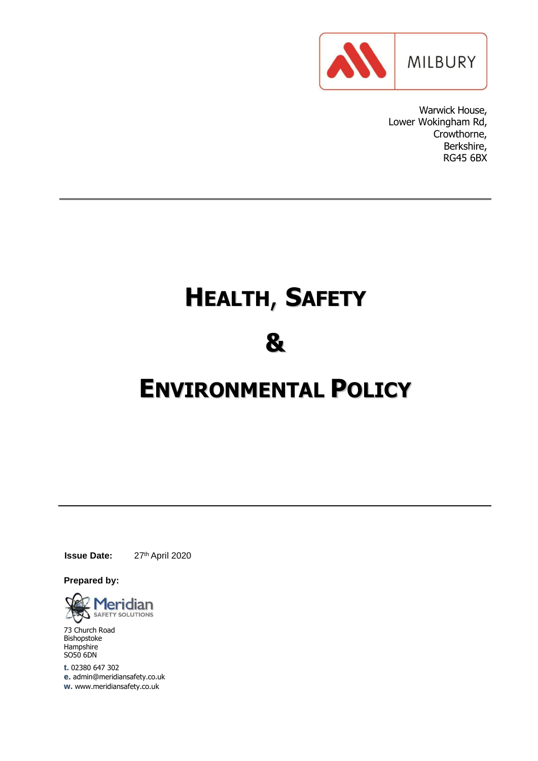

Warwick House, Lower Wokingham Rd, Crowthorne, Berkshire, RG45 6BX

# **HEALTH**, **SAFETY**

# **&**

# **ENVIRONMENTAL POLICY**

**Issue Date:** 27th April 2020

**Prepared by:**



73 Church Road Bishopstoke **Hampshire** SO50 6DN

**t.** 02380 647 302 **e.** [admin@meridiansafety.co.uk](mailto:admin@meridiansafety.co.uk) **w.** [www.meridiansafety.co.uk](http://www.meridiansafety.co.uk/)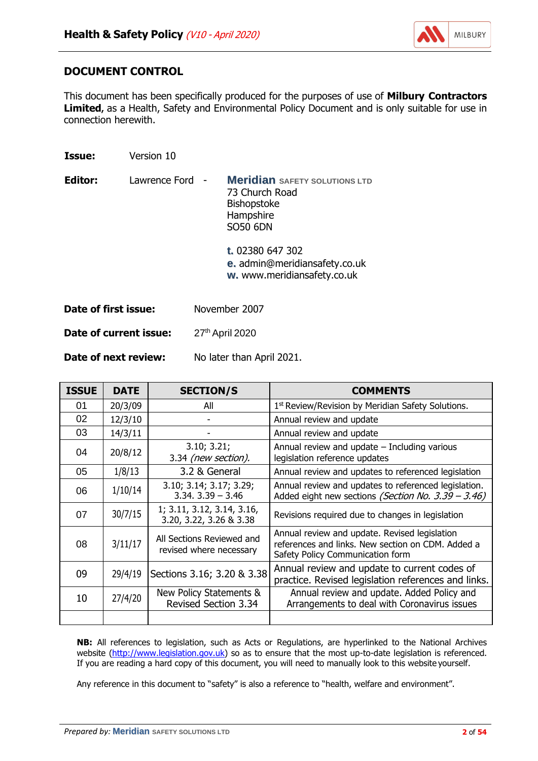

# **DOCUMENT CONTROL**

**Issue:** Version 10

This document has been specifically produced for the purposes of use of **Milbury Contractors**  Limited, as a Health, Safety and Environmental Policy Document and is only suitable for use in connection herewith.

| Editor:              | Lawrence Ford - | <b>Meridian</b> SAFETY SOLUTIONS LTD<br>73 Church Road<br><b>Bishopstoke</b><br>Hampshire<br><b>SO50 6DN</b> |
|----------------------|-----------------|--------------------------------------------------------------------------------------------------------------|
|                      |                 | <b>t.</b> 02380 647 302<br><b>e.</b> admin@meridiansafety.co.uk<br>w. www.meridiansafety.co.uk               |
| Date of first issue: |                 | November 2007                                                                                                |

**Date of current issue:** 27<sup>th</sup> April 2020

**Date of next review:** No later than April 2021.

| <b>ISSUE</b> | <b>DATE</b> | <b>SECTION/S</b>                                       | <b>COMMENTS</b>                                                                                                                        |
|--------------|-------------|--------------------------------------------------------|----------------------------------------------------------------------------------------------------------------------------------------|
| 01           | 20/3/09     | All                                                    | 1 <sup>st</sup> Review/Revision by Meridian Safety Solutions.                                                                          |
| 02           | 12/3/10     |                                                        | Annual review and update                                                                                                               |
| 03           | 14/3/11     |                                                        | Annual review and update                                                                                                               |
| 04           | 20/8/12     | 3.10; 3.21;<br>3.34 (new section).                     | Annual review and update $-$ Including various<br>legislation reference updates                                                        |
| 05           | 1/8/13      | 3.2 & General                                          | Annual review and updates to referenced legislation                                                                                    |
| 06           | 1/10/14     | 3.10; 3.14; 3.17; 3.29;<br>$3.34.3.39 - 3.46$          | Annual review and updates to referenced legislation.<br>Added eight new sections (Section No. 3.39 - 3.46)                             |
| 07           | 30/7/15     | 1; 3.11, 3.12, 3.14, 3.16,<br>3.20, 3.22, 3.26 & 3.38  | Revisions required due to changes in legislation                                                                                       |
| 08           | 3/11/17     | All Sections Reviewed and<br>revised where necessary   | Annual review and update. Revised legislation<br>references and links. New section on CDM. Added a<br>Safety Policy Communication form |
| 09           | 29/4/19     | Sections 3.16; 3.20 & 3.38                             | Annual review and update to current codes of<br>practice. Revised legislation references and links.                                    |
| 10           | 27/4/20     | New Policy Statements &<br><b>Revised Section 3.34</b> | Annual review and update. Added Policy and<br>Arrangements to deal with Coronavirus issues                                             |
|              |             |                                                        |                                                                                                                                        |

**NB:** All references to legislation, such as Acts or Regulations, are hyperlinked to the National Archives website [\(http://www.legislation.gov.uk\)](http://www.legislation.gov.uk/) so as to ensure that the most up-to-date legislation is referenced. If you are reading a hard copy of this document, you will need to manually look to this website yourself.

Any reference in this document to "safety" is also a reference to "health, welfare and environment".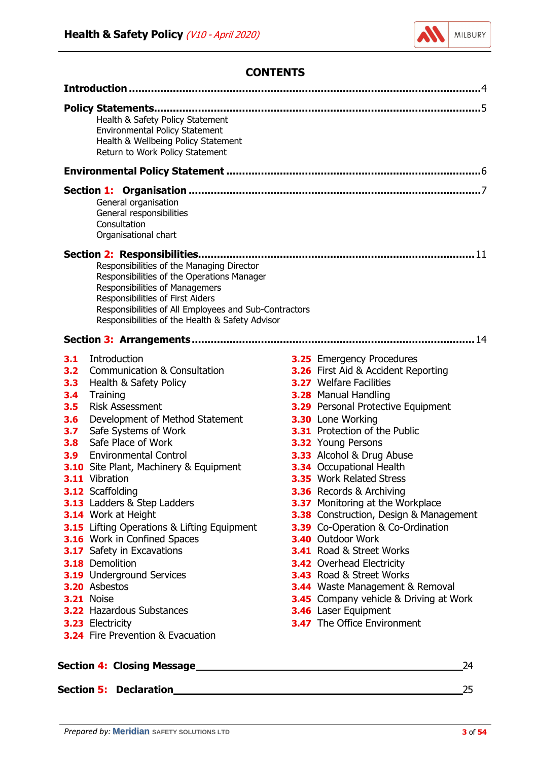

## **CONTENTS**

<span id="page-2-0"></span>

| Health & Safety Policy Statement<br>Environmental Policy Statement<br>Health & Wellbeing Policy Statement<br>Return to Work Policy Statement                                                                                                                                                                                                                                                                                                                                                                                                                                                                                                                                                                                                                                                               |                                                                                                                                                                                                                                                                                                                                                                                                                                                                                                                                                                                                                                                                                                                                                                                                      |  |  |  |
|------------------------------------------------------------------------------------------------------------------------------------------------------------------------------------------------------------------------------------------------------------------------------------------------------------------------------------------------------------------------------------------------------------------------------------------------------------------------------------------------------------------------------------------------------------------------------------------------------------------------------------------------------------------------------------------------------------------------------------------------------------------------------------------------------------|------------------------------------------------------------------------------------------------------------------------------------------------------------------------------------------------------------------------------------------------------------------------------------------------------------------------------------------------------------------------------------------------------------------------------------------------------------------------------------------------------------------------------------------------------------------------------------------------------------------------------------------------------------------------------------------------------------------------------------------------------------------------------------------------------|--|--|--|
|                                                                                                                                                                                                                                                                                                                                                                                                                                                                                                                                                                                                                                                                                                                                                                                                            |                                                                                                                                                                                                                                                                                                                                                                                                                                                                                                                                                                                                                                                                                                                                                                                                      |  |  |  |
| General organisation<br>General responsibilities<br>Consultation<br>Organisational chart                                                                                                                                                                                                                                                                                                                                                                                                                                                                                                                                                                                                                                                                                                                   |                                                                                                                                                                                                                                                                                                                                                                                                                                                                                                                                                                                                                                                                                                                                                                                                      |  |  |  |
| Section 2: Responsibilities<br>Responsibilities of the Managing Director<br>Responsibilities of the Operations Manager<br>Responsibilities of Managemers<br>Responsibilities of First Aiders<br>Responsibilities of All Employees and Sub-Contractors<br>Responsibilities of the Health & Safety Advisor                                                                                                                                                                                                                                                                                                                                                                                                                                                                                                   |                                                                                                                                                                                                                                                                                                                                                                                                                                                                                                                                                                                                                                                                                                                                                                                                      |  |  |  |
| Introduction<br>3.1<br><b>Communication &amp; Consultation</b><br>3.2<br>Health & Safety Policy<br>3.3<br>Training<br>3.4<br>3.5<br><b>Risk Assessment</b><br>3.6<br>Development of Method Statement<br>Safe Systems of Work<br>3.7 <sub>2</sub><br>Safe Place of Work<br>3.8<br><b>Environmental Control</b><br>3.9 <sub>2</sub><br><b>3.10</b> Site Plant, Machinery & Equipment<br>3.11 Vibration<br>3.12 Scaffolding<br><b>3.13</b> Ladders & Step Ladders<br>3.14 Work at Height<br>3.15 Lifting Operations & Lifting Equipment<br>3.16 Work in Confined Spaces<br>3.17 Safety in Excavations<br>3.18 Demolition<br><b>3.19</b> Underground Services<br>3.20 Asbestos<br><b>3.21 Noise</b><br><b>3.22 Hazardous Substances</b><br><b>3.23 Electricity</b><br><b>3.24</b> Fire Prevention & Evacuation | <b>3.25</b> Emergency Procedures<br>3.26 First Aid & Accident Reporting<br><b>3.27</b> Welfare Facilities<br>3.28 Manual Handling<br><b>3.29</b> Personal Protective Equipment<br>3.30 Lone Working<br>3.31 Protection of the Public<br><b>3.32</b> Young Persons<br>3.33 Alcohol & Drug Abuse<br>3.34 Occupational Health<br><b>3.35</b> Work Related Stress<br>3.36 Records & Archiving<br>3.37 Monitoring at the Workplace<br>3.38 Construction, Design & Management<br>3.39 Co-Operation & Co-Ordination<br><b>3.40 Outdoor Work</b><br>3.41 Road & Street Works<br><b>3.42</b> Overhead Electricity<br><b>3.43</b> Road & Street Works<br><b>3.44</b> Waste Management & Removal<br><b>3.45</b> Company vehicle & Driving at Work<br>3.46 Laser Equipment<br><b>3.47</b> The Office Environment |  |  |  |
|                                                                                                                                                                                                                                                                                                                                                                                                                                                                                                                                                                                                                                                                                                                                                                                                            | 24                                                                                                                                                                                                                                                                                                                                                                                                                                                                                                                                                                                                                                                                                                                                                                                                   |  |  |  |

**Section 5: Declaration** 25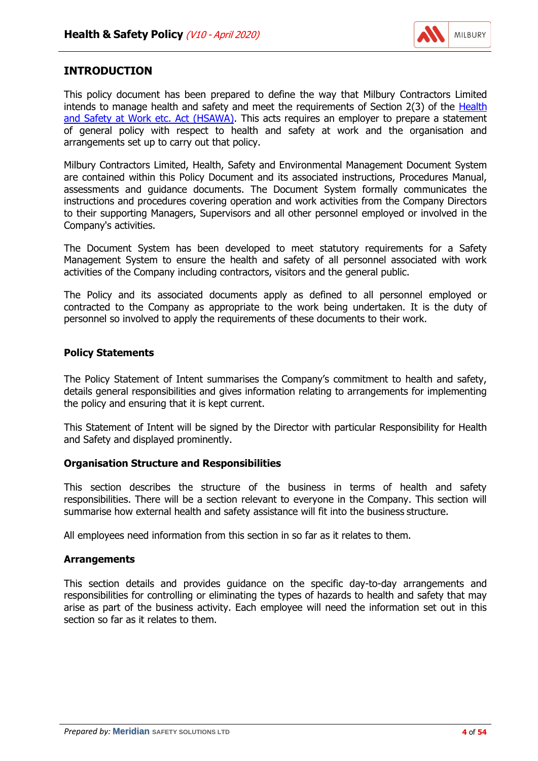

## <span id="page-3-0"></span>**INTRODUCTION**

This policy document has been prepared to define the way that Milbury Contractors Limited intends to manage health and safety and meet the requirements of Section 2(3) of the [Health](http://www.legislation.gov.uk/ukpga/1974/37/contents) [and Safety at Work etc. Act \(HSAWA\).](http://www.legislation.gov.uk/ukpga/1974/37/contents) This acts requires an employer to prepare a statement of general policy with respect to health and safety at work and the organisation and arrangements set up to carry out that policy.

Milbury Contractors Limited, Health, Safety and Environmental Management Document System are contained within this Policy Document and its associated instructions, Procedures Manual, assessments and guidance documents. The Document System formally communicates the instructions and procedures covering operation and work activities from the Company Directors to their supporting Managers, Supervisors and all other personnel employed or involved in the Company's activities.

The Document System has been developed to meet statutory requirements for a Safety Management System to ensure the health and safety of all personnel associated with work activities of the Company including contractors, visitors and the general public.

The Policy and its associated documents apply as defined to all personnel employed or contracted to the Company as appropriate to the work being undertaken. It is the duty of personnel so involved to apply the requirements of these documents to their work.

#### **Policy Statements**

The Policy Statement of Intent summarises the Company's commitment to health and safety, details general responsibilities and gives information relating to arrangements for implementing the policy and ensuring that it is kept current.

This Statement of Intent will be signed by the Director with particular Responsibility for Health and Safety and displayed prominently.

#### **Organisation Structure and Responsibilities**

This section describes the structure of the business in terms of health and safety responsibilities. There will be a section relevant to everyone in the Company. This section will summarise how external health and safety assistance will fit into the business structure.

All employees need information from this section in so far as it relates to them.

#### **Arrangements**

This section details and provides guidance on the specific day-to-day arrangements and responsibilities for controlling or eliminating the types of hazards to health and safety that may arise as part of the business activity. Each employee will need the information set out in this section so far as it relates to them.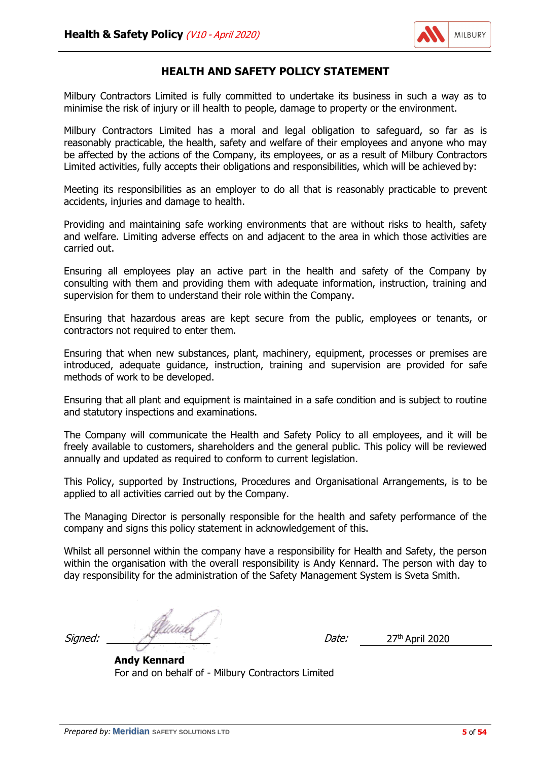

## **HEALTH AND SAFETY POLICY STATEMENT**

Milbury Contractors Limited is fully committed to undertake its business in such a way as to minimise the risk of injury or ill health to people, damage to property or the environment.

Milbury Contractors Limited has a moral and legal obligation to safeguard, so far as is reasonably practicable, the health, safety and welfare of their employees and anyone who may be affected by the actions of the Company, its employees, or as a result of Milbury Contractors Limited activities, fully accepts their obligations and responsibilities, which will be achieved by:

Meeting its responsibilities as an employer to do all that is reasonably practicable to prevent accidents, injuries and damage to health.

Providing and maintaining safe working environments that are without risks to health, safety and welfare. Limiting adverse effects on and adjacent to the area in which those activities are carried out.

Ensuring all employees play an active part in the health and safety of the Company by consulting with them and providing them with adequate information, instruction, training and supervision for them to understand their role within the Company.

Ensuring that hazardous areas are kept secure from the public, employees or tenants, or contractors not required to enter them.

Ensuring that when new substances, plant, machinery, equipment, processes or premises are introduced, adequate guidance, instruction, training and supervision are provided for safe methods of work to be developed.

Ensuring that all plant and equipment is maintained in a safe condition and is subject to routine and statutory inspections and examinations.

The Company will communicate the Health and Safety Policy to all employees, and it will be freely available to customers, shareholders and the general public. This policy will be reviewed annually and updated as required to conform to current legislation.

This Policy, supported by Instructions, Procedures and Organisational Arrangements, is to be applied to all activities carried out by the Company.

The Managing Director is personally responsible for the health and safety performance of the company and signs this policy statement in acknowledgement of this.

Whilst all personnel within the company have a responsibility for Health and Safety, the person within the organisation with the overall responsibility is Andy Kennard. The person with day to day responsibility for the administration of the Safety Management System is Sveta Smith.

Signed: Alternative Contract of the Contract of the Contract of the Contract of the Contract of the Contract of Date: 27<sup>th</sup> April 2020

**Andy Kennard** For and on behalf of - Milbury Contractors Limited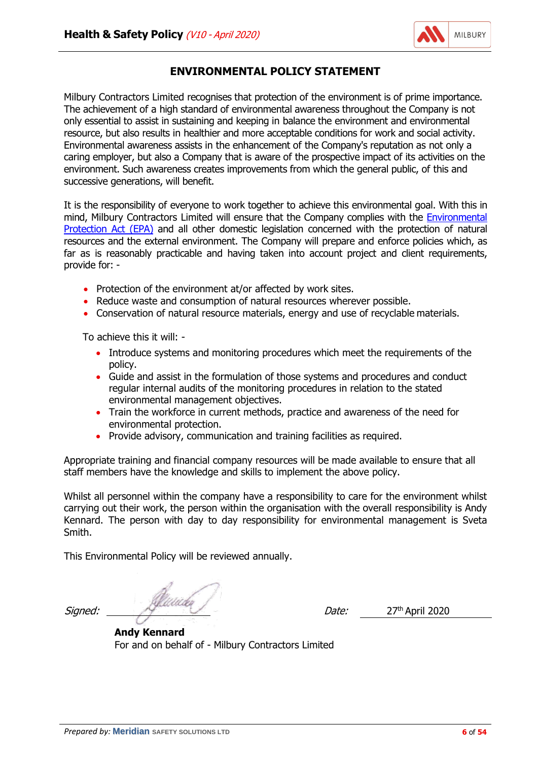

# **ENVIRONMENTAL POLICY STATEMENT**

<span id="page-5-0"></span>Milbury Contractors Limited recognises that protection of the environment is of prime importance. The achievement of a high standard of environmental awareness throughout the Company is not only essential to assist in sustaining and keeping in balance the environment and environmental resource, but also results in healthier and more acceptable conditions for work and social activity. Environmental awareness assists in the enhancement of the Company's reputation as not only a caring employer, but also a Company that is aware of the prospective impact of its activities on the environment. Such awareness creates improvements from which the general public, of this and successive generations, will benefit.

It is the responsibility of everyone to work together to achieve this environmental goal. With this in mind, Milbury Contractors Limited will ensure that the Company complies with the [Environmental](http://www.legislation.gov.uk/ukpga/1990/43/contents) [Protection Act \(EPA\)](http://www.legislation.gov.uk/ukpga/1990/43/contents) and all other domestic legislation concerned with the protection of natural resources and the external environment. The Company will prepare and enforce policies which, as far as is reasonably practicable and having taken into account project and client requirements, provide for: -

- Protection of the environment at/or affected by work sites.
- Reduce waste and consumption of natural resources wherever possible.
- Conservation of natural resource materials, energy and use of recyclable materials.

To achieve this it will: -

- Introduce systems and monitoring procedures which meet the requirements of the policy.
- Guide and assist in the formulation of those systems and procedures and conduct regular internal audits of the monitoring procedures in relation to the stated environmental management objectives.
- Train the workforce in current methods, practice and awareness of the need for environmental protection.
- Provide advisory, communication and training facilities as required.

Appropriate training and financial company resources will be made available to ensure that all staff members have the knowledge and skills to implement the above policy.

Whilst all personnel within the company have a responsibility to care for the environment whilst carrying out their work, the person within the organisation with the overall responsibility is Andy Kennard. The person with day to day responsibility for environmental management is Sveta Smith.

This Environmental Policy will be reviewed annually.

Signed: Alternative Contractor Contractor Contractor Contractor Contractor Contractor Contractor Contractor Co<br>
Date: 27<sup>th</sup> April 2020

**Andy Kennard** For and on behalf of - Milbury Contractors Limited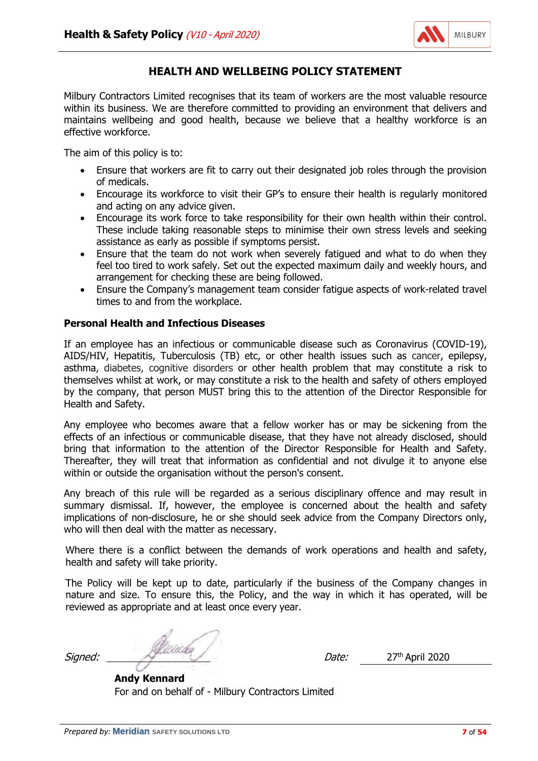

## **HEALTH AND WELLBEING POLICY STATEMENT**

<span id="page-6-0"></span>Milbury Contractors Limited recognises that its team of workers are the most valuable resource within its business. We are therefore committed to providing an environment that delivers and maintains wellbeing and good health, because we believe that a healthy workforce is an effective workforce.

The aim of this policy is to:

- Ensure that workers are fit to carry out their designated job roles through the provision of medicals.
- Encourage its workforce to visit their GP's to ensure their health is regularly monitored and acting on any advice given.
- Encourage its work force to take responsibility for their own health within their control. These include taking reasonable steps to minimise their own stress levels and seeking assistance as early as possible if symptoms persist.
- Ensure that the team do not work when severely fatigued and what to do when they feel too tired to work safely. Set out the expected maximum daily and weekly hours, and arrangement for checking these are being followed.
- Ensure the Company's management team consider fatigue aspects of work-related travel times to and from the workplace.

#### **Personal Health and Infectious Diseases**

If an employee has an infectious or communicable disease such as Coronavirus (COVID-19), AIDS/HIV, Hepatitis, Tuberculosis (TB) etc, or other health issues such as cancer, epilepsy, asthma, diabetes, cognitive disorders or other health problem that may constitute a risk to themselves whilst at work, or may constitute a risk to the health and safety of others employed by the company, that person MUST bring this to the attention of the Director Responsible for Health and Safety.

Any employee who becomes aware that a fellow worker has or may be sickening from the effects of an infectious or communicable disease, that they have not already disclosed, should bring that information to the attention of the Director Responsible for Health and Safety. Thereafter, they will treat that information as confidential and not divulge it to anyone else within or outside the organisation without the person's consent.

Any breach of this rule will be regarded as a serious disciplinary offence and may result in summary dismissal. If, however, the employee is concerned about the health and safety implications of non-disclosure, he or she should seek advice from the Company Directors only, who will then deal with the matter as necessary.

Where there is a conflict between the demands of work operations and health and safety, health and safety will take priority.

The Policy will be kept up to date, particularly if the business of the Company changes in nature and size. To ensure this, the Policy, and the way in which it has operated, will be reviewed as appropriate and at least once every year.

Signed: 27th April 2020

**Andy Kennard** For and on behalf of - Milbury Contractors Limited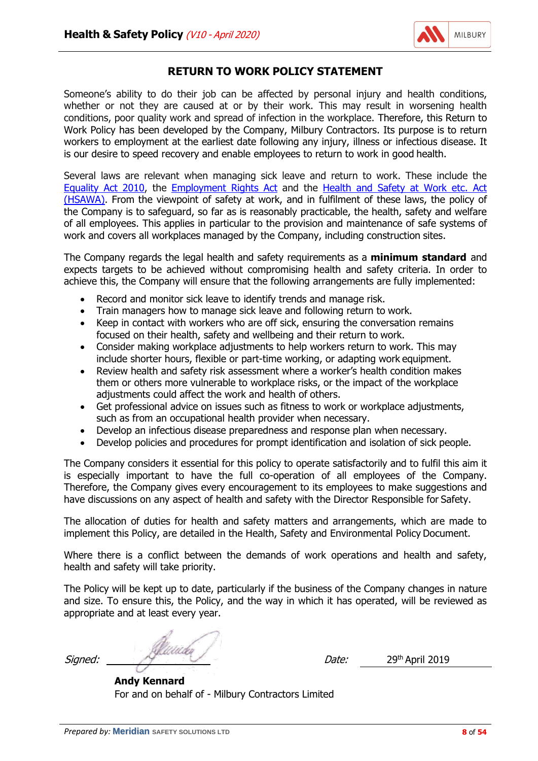

## **RETURN TO WORK POLICY STATEMENT**

Someone's ability to do their job can be affected by personal injury and health conditions, whether or not they are caused at or by their work. This may result in worsening health conditions, poor quality work and spread of infection in the workplace. Therefore, this Return to Work Policy has been developed by the Company, Milbury Contractors. Its purpose is to return workers to employment at the earliest date following any injury, illness or infectious disease. It is our desire to speed recovery and enable employees to return to work in good health.

Several laws are relevant when managing sick leave and return to work. These include the [Equality Act 2010,](http://www.legislation.gov.uk/ukpga/2010/15/contents) the [Employment Rights Act](http://www.legislation.gov.uk/ukpga/1996/18/contents) and the [Health and Safety at Work etc. Act](http://www.legislation.gov.uk/ukpga/1974/37/contents) [\(HSAWA\).](http://www.legislation.gov.uk/ukpga/1974/37/contents) From the viewpoint of safety at work, and in fulfilment of these laws, the policy of the Company is to safeguard, so far as is reasonably practicable, the health, safety and welfare of all employees. This applies in particular to the provision and maintenance of safe systems of work and covers all workplaces managed by the Company, including construction sites.

The Company regards the legal health and safety requirements as a **minimum standard** and expects targets to be achieved without compromising health and safety criteria. In order to achieve this, the Company will ensure that the following arrangements are fully implemented:

- Record and monitor sick leave to identify trends and manage risk.
- Train managers how to manage sick leave and following return to work.
- Keep in contact with workers who are off sick, ensuring the conversation remains focused on their health, safety and wellbeing and their return to work.
- Consider making workplace adjustments to help workers return to work. This may include shorter hours, flexible or part-time working, or adapting work equipment.
- Review health and safety risk assessment where a worker's health condition makes them or others more vulnerable to workplace risks, or the impact of the workplace adjustments could affect the work and health of others.
- Get professional advice on issues such as fitness to work or workplace adjustments, such as from an occupational health provider when necessary.
- Develop an infectious disease preparedness and response plan when necessary.
- Develop policies and procedures for prompt identification and isolation of sick people.

The Company considers it essential for this policy to operate satisfactorily and to fulfil this aim it is especially important to have the full co-operation of all employees of the Company. Therefore, the Company gives every encouragement to its employees to make suggestions and have discussions on any aspect of health and safety with the Director Responsible for Safety.

The allocation of duties for health and safety matters and arrangements, which are made to implement this Policy, are detailed in the Health, Safety and Environmental Policy Document.

Where there is a conflict between the demands of work operations and health and safety, health and safety will take priority.

The Policy will be kept up to date, particularly if the business of the Company changes in nature and size. To ensure this, the Policy, and the way in which it has operated, will be reviewed as appropriate and at least every year.

Signed: Alternative Contract of the Contract of the Contract of the Contract of the Contract of the Contract of Date: 29th April 2019

**Andy Kennard** For and on behalf of - Milbury Contractors Limited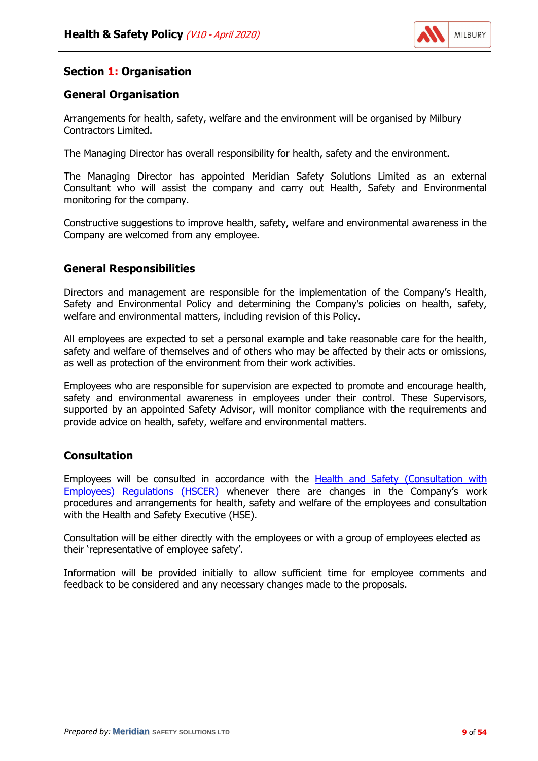

# **Section 1: Organisation**

# **General Organisation**

Arrangements for health, safety, welfare and the environment will be organised by Milbury Contractors Limited.

The Managing Director has overall responsibility for health, safety and the environment.

The Managing Director has appointed Meridian Safety Solutions Limited as an external Consultant who will assist the company and carry out Health, Safety and Environmental monitoring for the company.

Constructive suggestions to improve health, safety, welfare and environmental awareness in the Company are welcomed from any employee.

## **General Responsibilities**

Directors and management are responsible for the implementation of the Company's Health, Safety and Environmental Policy and determining the Company's policies on health, safety, welfare and environmental matters, including revision of this Policy.

All employees are expected to set a personal example and take reasonable care for the health, safety and welfare of themselves and of others who may be affected by their acts or omissions, as well as protection of the environment from their work activities.

Employees who are responsible for supervision are expected to promote and encourage health, safety and environmental awareness in employees under their control. These Supervisors, supported by an appointed Safety Advisor, will monitor compliance with the requirements and provide advice on health, safety, welfare and environmental matters.

# **Consultation**

Employees will be consulted in accordance with the **[Health and Safety \(Consultation with](http://www.legislation.gov.uk/uksi/1996/1513/contents/made)** [Employees\) Regulations \(HSCER\)](http://www.legislation.gov.uk/uksi/1996/1513/contents/made) whenever there are changes in the Company's work procedures and arrangements for health, safety and welfare of the employees and consultation with the Health and Safety Executive (HSE).

Consultation will be either directly with the employees or with a group of employees elected as their 'representative of employee safety'.

Information will be provided initially to allow sufficient time for employee comments and feedback to be considered and any necessary changes made to the proposals.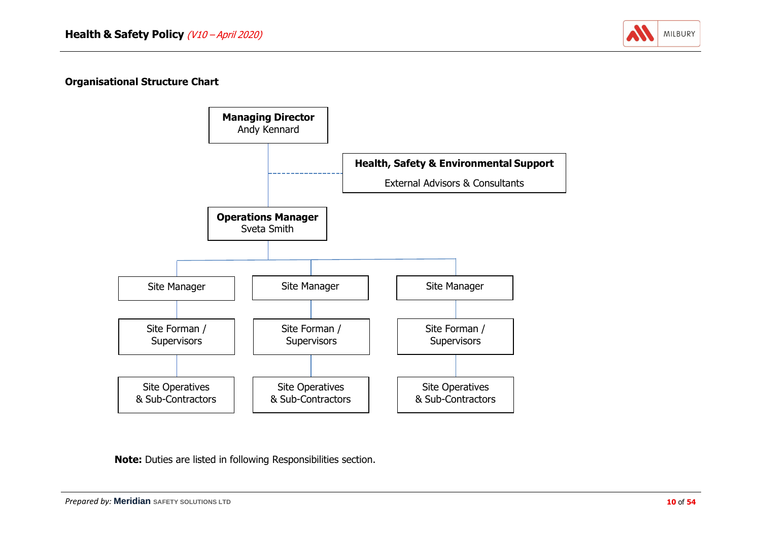

#### **Organisational Structure Chart**



**Note:** Duties are listed in following Responsibilities section.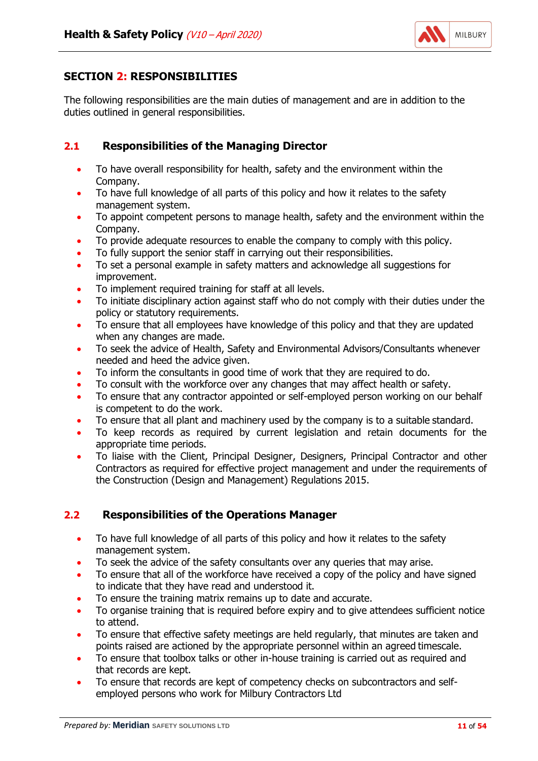

# <span id="page-10-0"></span>**SECTION 2: RESPONSIBILITIES**

The following responsibilities are the main duties of management and are in addition to the duties outlined in general responsibilities.

# **2.1 Responsibilities of the Managing Director**

- To have overall responsibility for health, safety and the environment within the Company.
- To have full knowledge of all parts of this policy and how it relates to the safety management system.
- To appoint competent persons to manage health, safety and the environment within the Company.
- To provide adequate resources to enable the company to comply with this policy.
- To fully support the senior staff in carrying out their responsibilities.
- To set a personal example in safety matters and acknowledge all suggestions for improvement.
- To implement required training for staff at all levels.
- To initiate disciplinary action against staff who do not comply with their duties under the policy or statutory requirements.
- To ensure that all employees have knowledge of this policy and that they are updated when any changes are made.
- To seek the advice of Health, Safety and Environmental Advisors/Consultants whenever needed and heed the advice given.
- To inform the consultants in good time of work that they are required to do.
- To consult with the workforce over any changes that may affect health or safety.
- To ensure that any contractor appointed or self-employed person working on our behalf is competent to do the work.
- To ensure that all plant and machinery used by the company is to a suitable standard.
- To keep records as required by current legislation and retain documents for the appropriate time periods.
- To liaise with the Client, Principal Designer, Designers, Principal Contractor and other Contractors as required for effective project management and under the requirements of the Construction (Design and Management) Regulations 2015.

# **2.2 Responsibilities of the Operations Manager**

- To have full knowledge of all parts of this policy and how it relates to the safety management system.
- To seek the advice of the safety consultants over any queries that may arise.
- To ensure that all of the workforce have received a copy of the policy and have signed to indicate that they have read and understood it.
- To ensure the training matrix remains up to date and accurate.
- To organise training that is required before expiry and to give attendees sufficient notice to attend.
- To ensure that effective safety meetings are held regularly, that minutes are taken and points raised are actioned by the appropriate personnel within an agreed timescale.
- To ensure that toolbox talks or other in-house training is carried out as required and that records are kept.
- To ensure that records are kept of competency checks on subcontractors and selfemployed persons who work for Milbury Contractors Ltd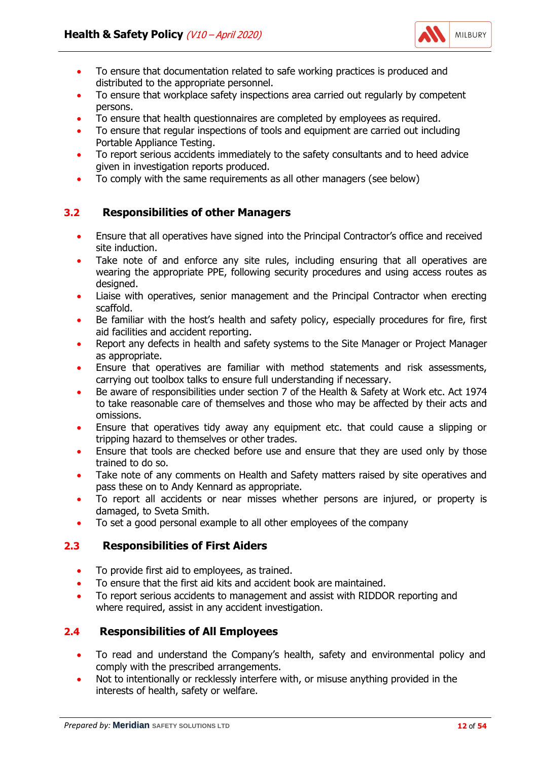

- To ensure that documentation related to safe working practices is produced and distributed to the appropriate personnel.
- To ensure that workplace safety inspections area carried out regularly by competent persons.
- To ensure that health questionnaires are completed by employees as required.
- To ensure that regular inspections of tools and equipment are carried out including Portable Appliance Testing.
- To report serious accidents immediately to the safety consultants and to heed advice given in investigation reports produced.
- To comply with the same requirements as all other managers (see below)

# **3.2 Responsibilities of other Managers**

- Ensure that all operatives have signed into the Principal Contractor's office and received site induction.
- Take note of and enforce any site rules, including ensuring that all operatives are wearing the appropriate PPE, following security procedures and using access routes as designed.
- Liaise with operatives, senior management and the Principal Contractor when erecting scaffold.
- Be familiar with the host's health and safety policy, especially procedures for fire, first aid facilities and accident reporting.
- Report any defects in health and safety systems to the Site Manager or Project Manager as appropriate.
- Ensure that operatives are familiar with method statements and risk assessments, carrying out toolbox talks to ensure full understanding if necessary.
- Be aware of responsibilities under section 7 of the Health & Safety at Work etc. Act 1974 to take reasonable care of themselves and those who may be affected by their acts and omissions.
- Ensure that operatives tidy away any equipment etc. that could cause a slipping or tripping hazard to themselves or other trades.
- Ensure that tools are checked before use and ensure that they are used only by those trained to do so.
- Take note of any comments on Health and Safety matters raised by site operatives and pass these on to Andy Kennard as appropriate.
- To report all accidents or near misses whether persons are injured, or property is damaged, to Sveta Smith.
- To set a good personal example to all other employees of the company

# **2.3 Responsibilities of First Aiders**

- To provide first aid to employees, as trained.
- To ensure that the first aid kits and accident book are maintained.
- To report serious accidents to management and assist with RIDDOR reporting and where required, assist in any accident investigation.

# **2.4 Responsibilities of All Employees**

- To read and understand the Company's health, safety and environmental policy and comply with the prescribed arrangements.
- Not to intentionally or recklessly interfere with, or misuse anything provided in the interests of health, safety or welfare.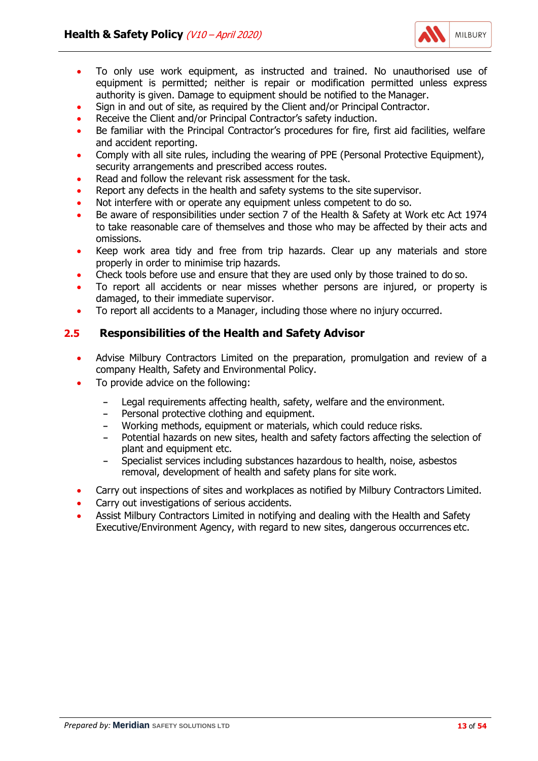

- To only use work equipment, as instructed and trained. No unauthorised use of equipment is permitted; neither is repair or modification permitted unless express authority is given. Damage to equipment should be notified to the Manager.
- Sign in and out of site, as required by the Client and/or Principal Contractor.
- Receive the Client and/or Principal Contractor's safety induction.
- Be familiar with the Principal Contractor's procedures for fire, first aid facilities, welfare and accident reporting.
- Comply with all site rules, including the wearing of PPE (Personal Protective Equipment), security arrangements and prescribed access routes.
- Read and follow the relevant risk assessment for the task.
- Report any defects in the health and safety systems to the site supervisor.
- Not interfere with or operate any equipment unless competent to do so.
- Be aware of responsibilities under section 7 of the Health & Safety at Work etc Act 1974 to take reasonable care of themselves and those who may be affected by their acts and omissions.
- Keep work area tidy and free from trip hazards. Clear up any materials and store properly in order to minimise trip hazards.
- Check tools before use and ensure that they are used only by those trained to do so.
- To report all accidents or near misses whether persons are injured, or property is damaged, to their immediate supervisor.
- To report all accidents to a Manager, including those where no injury occurred.

## **2.5 Responsibilities of the Health and Safety Advisor**

- Advise Milbury Contractors Limited on the preparation, promulgation and review of a company Health, Safety and Environmental Policy.
- To provide advice on the following:
	- **-** Legal requirements affecting health, safety, welfare and the environment.
	- **-** Personal protective clothing and equipment.
	- **-** Working methods, equipment or materials, which could reduce risks.
	- **-** Potential hazards on new sites, health and safety factors affecting the selection of plant and equipment etc.
	- **-** Specialist services including substances hazardous to health, noise, asbestos removal, development of health and safety plans for site work.
- Carry out inspections of sites and workplaces as notified by Milbury Contractors Limited.
- Carry out investigations of serious accidents.
- Assist Milbury Contractors Limited in notifying and dealing with the Health and Safety Executive/Environment Agency, with regard to new sites, dangerous occurrences etc.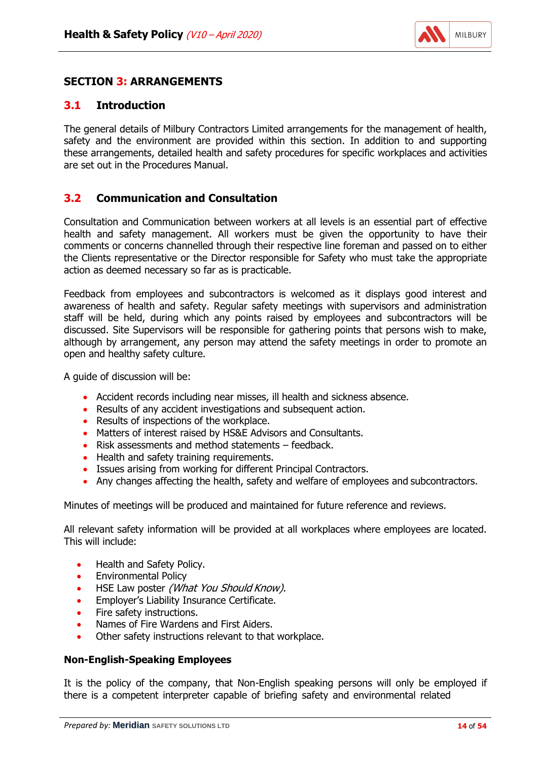

## <span id="page-13-0"></span>**SECTION 3: ARRANGEMENTS**

#### **3.1 Introduction**

The general details of Milbury Contractors Limited arrangements for the management of health, safety and the environment are provided within this section. In addition to and supporting these arrangements, detailed health and safety procedures for specific workplaces and activities are set out in the Procedures Manual.

## **3.2 Communication and Consultation**

Consultation and Communication between workers at all levels is an essential part of effective health and safety management. All workers must be given the opportunity to have their comments or concerns channelled through their respective line foreman and passed on to either the Clients representative or the Director responsible for Safety who must take the appropriate action as deemed necessary so far as is practicable.

Feedback from employees and subcontractors is welcomed as it displays good interest and awareness of health and safety. Regular safety meetings with supervisors and administration staff will be held, during which any points raised by employees and subcontractors will be discussed. Site Supervisors will be responsible for gathering points that persons wish to make, although by arrangement, any person may attend the safety meetings in order to promote an open and healthy safety culture.

A guide of discussion will be:

- Accident records including near misses, ill health and sickness absence.
- Results of any accident investigations and subsequent action.
- Results of inspections of the workplace.
- Matters of interest raised by HS&E Advisors and Consultants.
- Risk assessments and method statements feedback.
- Health and safety training requirements.
- Issues arising from working for different Principal Contractors.
- Any changes affecting the health, safety and welfare of employees and subcontractors.

Minutes of meetings will be produced and maintained for future reference and reviews.

All relevant safety information will be provided at all workplaces where employees are located. This will include:

- Health and Safety Policy.
- Environmental Policy
- HSE Law poster (What You Should Know).
- Employer's Liability Insurance Certificate.
- Fire safety instructions.
- Names of Fire Wardens and First Aiders.
- Other safety instructions relevant to that workplace.

#### **Non-English-Speaking Employees**

It is the policy of the company, that Non-English speaking persons will only be employed if there is a competent interpreter capable of briefing safety and environmental related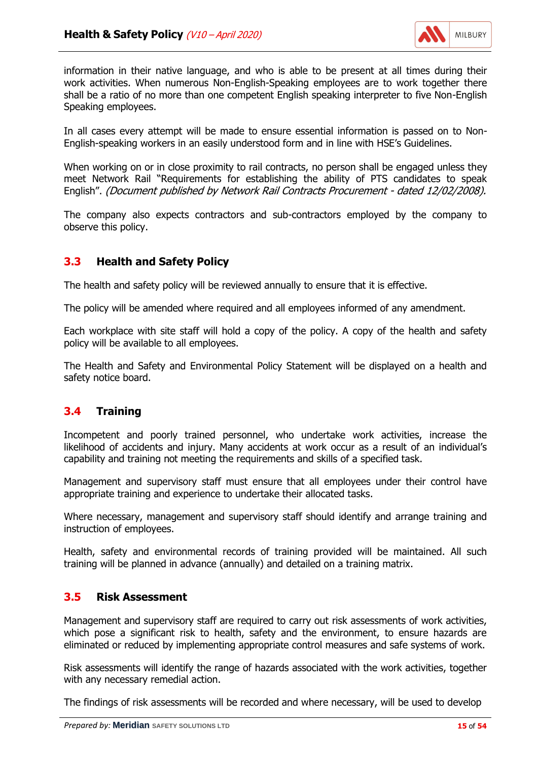

information in their native language, and who is able to be present at all times during their work activities. When numerous Non-English-Speaking employees are to work together there shall be a ratio of no more than one competent English speaking interpreter to five Non-English Speaking employees.

In all cases every attempt will be made to ensure essential information is passed on to Non-English-speaking workers in an easily understood form and in line with HSE's Guidelines.

When working on or in close proximity to rail contracts, no person shall be engaged unless they meet Network Rail "Requirements for establishing the ability of PTS candidates to speak English". (Document published by Network Rail Contracts Procurement - dated 12/02/2008).

The company also expects contractors and sub-contractors employed by the company to observe this policy.

## **3.3 Health and Safety Policy**

The health and safety policy will be reviewed annually to ensure that it is effective.

The policy will be amended where required and all employees informed of any amendment.

Each workplace with site staff will hold a copy of the policy. A copy of the health and safety policy will be available to all employees.

The Health and Safety and Environmental Policy Statement will be displayed on a health and safety notice board.

# **3.4 Training**

Incompetent and poorly trained personnel, who undertake work activities, increase the likelihood of accidents and injury. Many accidents at work occur as a result of an individual's capability and training not meeting the requirements and skills of a specified task.

Management and supervisory staff must ensure that all employees under their control have appropriate training and experience to undertake their allocated tasks.

Where necessary, management and supervisory staff should identify and arrange training and instruction of employees.

Health, safety and environmental records of training provided will be maintained. All such training will be planned in advance (annually) and detailed on a training matrix.

#### **3.5 Risk Assessment**

Management and supervisory staff are required to carry out risk assessments of work activities, which pose a significant risk to health, safety and the environment, to ensure hazards are eliminated or reduced by implementing appropriate control measures and safe systems of work.

Risk assessments will identify the range of hazards associated with the work activities, together with any necessary remedial action.

The findings of risk assessments will be recorded and where necessary, will be used to develop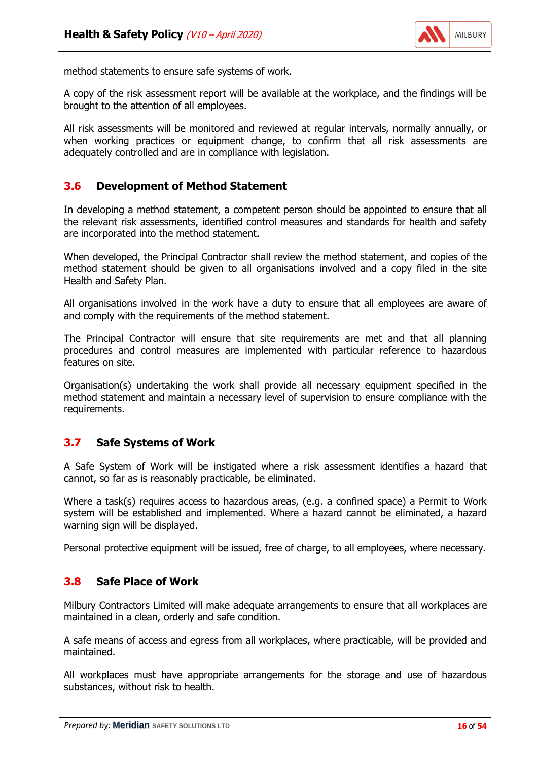

method statements to ensure safe systems of work.

A copy of the risk assessment report will be available at the workplace, and the findings will be brought to the attention of all employees.

All risk assessments will be monitored and reviewed at regular intervals, normally annually, or when working practices or equipment change, to confirm that all risk assessments are adequately controlled and are in compliance with legislation.

#### **3.6 Development of Method Statement**

In developing a method statement, a competent person should be appointed to ensure that all the relevant risk assessments, identified control measures and standards for health and safety are incorporated into the method statement.

When developed, the Principal Contractor shall review the method statement, and copies of the method statement should be given to all organisations involved and a copy filed in the site Health and Safety Plan.

All organisations involved in the work have a duty to ensure that all employees are aware of and comply with the requirements of the method statement.

The Principal Contractor will ensure that site requirements are met and that all planning procedures and control measures are implemented with particular reference to hazardous features on site.

Organisation(s) undertaking the work shall provide all necessary equipment specified in the method statement and maintain a necessary level of supervision to ensure compliance with the requirements.

#### **3.7 Safe Systems of Work**

A Safe System of Work will be instigated where a risk assessment identifies a hazard that cannot, so far as is reasonably practicable, be eliminated.

Where a task(s) requires access to hazardous areas, (e.g. a confined space) a Permit to Work system will be established and implemented. Where a hazard cannot be eliminated, a hazard warning sign will be displayed.

Personal protective equipment will be issued, free of charge, to all employees, where necessary.

#### **3.8 Safe Place of Work**

Milbury Contractors Limited will make adequate arrangements to ensure that all workplaces are maintained in a clean, orderly and safe condition.

A safe means of access and egress from all workplaces, where practicable, will be provided and maintained.

All workplaces must have appropriate arrangements for the storage and use of hazardous substances, without risk to health.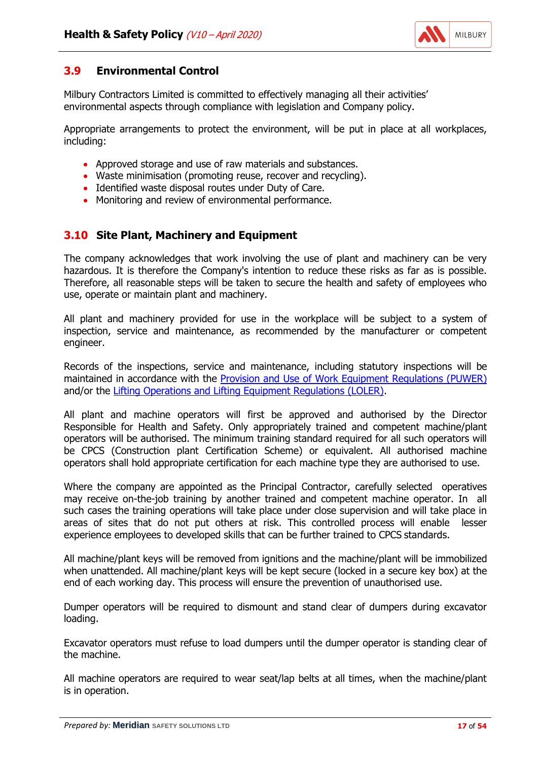

# **3.9 Environmental Control**

Milbury Contractors Limited is committed to effectively managing all their activities' environmental aspects through compliance with legislation and Company policy.

Appropriate arrangements to protect the environment, will be put in place at all workplaces, including:

- Approved storage and use of raw materials and substances.
- Waste minimisation (promoting reuse, recover and recycling).
- Identified waste disposal routes under Duty of Care.
- Monitoring and review of environmental performance.

# **3.10 Site Plant, Machinery and Equipment**

The company acknowledges that work involving the use of plant and machinery can be very hazardous. It is therefore the Company's intention to reduce these risks as far as is possible. Therefore, all reasonable steps will be taken to secure the health and safety of employees who use, operate or maintain plant and machinery.

All plant and machinery provided for use in the workplace will be subject to a system of inspection, service and maintenance, as recommended by the manufacturer or competent engineer.

Records of the inspections, service and maintenance, including statutory inspections will be maintained in accordance with the [Provision and Use of Work Equipment Regulations \(PUWER\)](http://www.legislation.gov.uk/uksi/1998/2306/contents/made) and/or the [Lifting Operations and Lifting Equipment Regulations \(LOLER\).](http://www.legislation.gov.uk/uksi/1998/2307/contents/made)

All plant and machine operators will first be approved and authorised by the Director Responsible for Health and Safety. Only appropriately trained and competent machine/plant operators will be authorised. The minimum training standard required for all such operators will be CPCS (Construction plant Certification Scheme) or equivalent. All authorised machine operators shall hold appropriate certification for each machine type they are authorised to use.

Where the company are appointed as the Principal Contractor, carefully selected operatives may receive on-the-job training by another trained and competent machine operator. In all such cases the training operations will take place under close supervision and will take place in areas of sites that do not put others at risk. This controlled process will enable lesser experience employees to developed skills that can be further trained to CPCS standards.

All machine/plant keys will be removed from ignitions and the machine/plant will be immobilized when unattended. All machine/plant keys will be kept secure (locked in a secure key box) at the end of each working day. This process will ensure the prevention of unauthorised use.

Dumper operators will be required to dismount and stand clear of dumpers during excavator loading.

Excavator operators must refuse to load dumpers until the dumper operator is standing clear of the machine.

All machine operators are required to wear seat/lap belts at all times, when the machine/plant is in operation.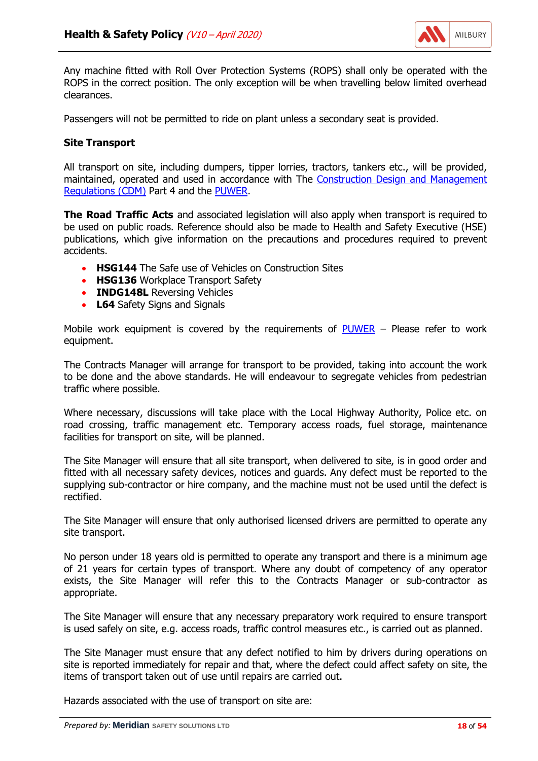

Any machine fitted with Roll Over Protection Systems (ROPS) shall only be operated with the ROPS in the correct position. The only exception will be when travelling below limited overhead clearances.

Passengers will not be permitted to ride on plant unless a secondary seat is provided.

#### **Site Transport**

All transport on site, including dumpers, tipper lorries, tractors, tankers etc., will be provided, maintained, operated and used in accordance with The [Construction Design and Management](http://www.legislation.gov.uk/uksi/2015/51/contents/made) [Regulations \(CDM\)](http://www.legislation.gov.uk/uksi/2015/51/contents/made) Part 4 and the [PUWER.](http://www.legislation.gov.uk/uksi/1998/2306/contents/made)

**The Road Traffic Acts** and associated legislation will also apply when transport is required to be used on public roads. Reference should also be made to Health and Safety Executive (HSE) publications, which give information on the precautions and procedures required to prevent accidents.

- **HSG144** The Safe use of Vehicles on Construction Sites
- **HSG136** Workplace Transport Safety
- **INDG148L** Reversing Vehicles
- **L64** Safety Signs and Signals

Mobile work equipment is covered by the requirements of  $\frac{PUNER}{P}$  – Please refer to work equipment.

The Contracts Manager will arrange for transport to be provided, taking into account the work to be done and the above standards. He will endeavour to segregate vehicles from pedestrian traffic where possible.

Where necessary, discussions will take place with the Local Highway Authority, Police etc. on road crossing, traffic management etc. Temporary access roads, fuel storage, maintenance facilities for transport on site, will be planned.

The Site Manager will ensure that all site transport, when delivered to site, is in good order and fitted with all necessary safety devices, notices and guards. Any defect must be reported to the supplying sub-contractor or hire company, and the machine must not be used until the defect is rectified.

The Site Manager will ensure that only authorised licensed drivers are permitted to operate any site transport.

No person under 18 years old is permitted to operate any transport and there is a minimum age of 21 years for certain types of transport. Where any doubt of competency of any operator exists, the Site Manager will refer this to the Contracts Manager or sub-contractor as appropriate.

The Site Manager will ensure that any necessary preparatory work required to ensure transport is used safely on site, e.g. access roads, traffic control measures etc., is carried out as planned.

The Site Manager must ensure that any defect notified to him by drivers during operations on site is reported immediately for repair and that, where the defect could affect safety on site, the items of transport taken out of use until repairs are carried out.

Hazards associated with the use of transport on site are: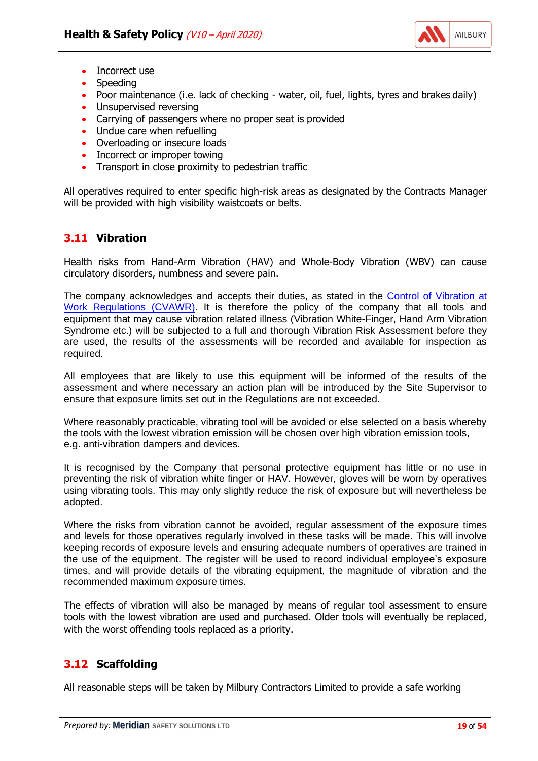

- Incorrect use
- Speeding
- Poor maintenance (i.e. lack of checking water, oil, fuel, lights, tyres and brakes daily)
- Unsupervised reversing
- Carrying of passengers where no proper seat is provided
- Undue care when refuelling
- Overloading or insecure loads
- Incorrect or improper towing
- Transport in close proximity to pedestrian traffic

All operatives required to enter specific high-risk areas as designated by the Contracts Manager will be provided with high visibility waistcoats or belts.

## **3.11 Vibration**

Health risks from Hand-Arm Vibration (HAV) and Whole-Body Vibration (WBV) can cause circulatory disorders, numbness and severe pain.

The company acknowledges and accepts their duties, as stated in the [Control of Vibration at](http://www.legislation.gov.uk/uksi/2005/1093/contents/made) [Work Regulations \(CVAWR\).](http://www.legislation.gov.uk/uksi/2005/1093/contents/made) It is therefore the policy of the company that all tools and equipment that may cause vibration related illness (Vibration White-Finger, Hand Arm Vibration Syndrome etc.) will be subjected to a full and thorough Vibration Risk Assessment before they are used, the results of the assessments will be recorded and available for inspection as required.

All employees that are likely to use this equipment will be informed of the results of the assessment and where necessary an action plan will be introduced by the Site Supervisor to ensure that exposure limits set out in the Regulations are not exceeded.

Where reasonably practicable, vibrating tool will be avoided or else selected on a basis whereby the tools with the lowest vibration emission will be chosen over high vibration emission tools, e.g. anti-vibration dampers and devices.

It is recognised by the Company that personal protective equipment has little or no use in preventing the risk of vibration white finger or HAV. However, gloves will be worn by operatives using vibrating tools. This may only slightly reduce the risk of exposure but will nevertheless be adopted.

Where the risks from vibration cannot be avoided, regular assessment of the exposure times and levels for those operatives regularly involved in these tasks will be made. This will involve keeping records of exposure levels and ensuring adequate numbers of operatives are trained in the use of the equipment. The register will be used to record individual employee's exposure times, and will provide details of the vibrating equipment, the magnitude of vibration and the recommended maximum exposure times.

The effects of vibration will also be managed by means of regular tool assessment to ensure tools with the lowest vibration are used and purchased. Older tools will eventually be replaced, with the worst offending tools replaced as a priority.

# **3.12 Scaffolding**

All reasonable steps will be taken by Milbury Contractors Limited to provide a safe working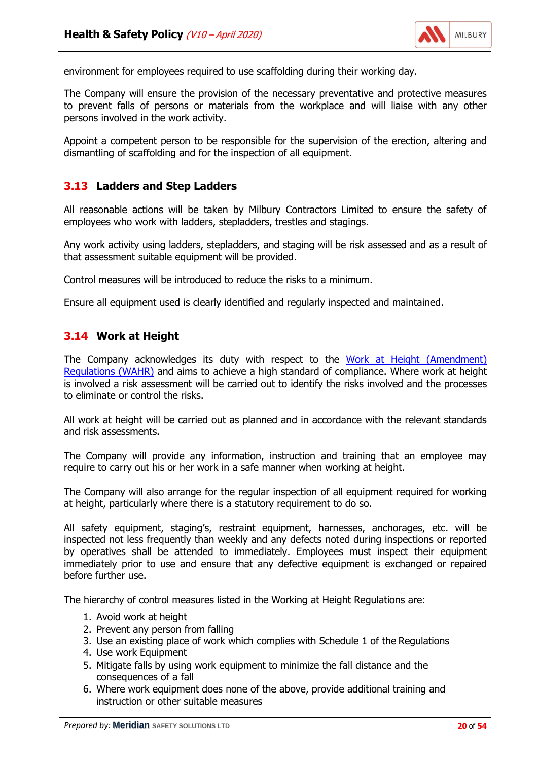

environment for employees required to use scaffolding during their working day.

The Company will ensure the provision of the necessary preventative and protective measures to prevent falls of persons or materials from the workplace and will liaise with any other persons involved in the work activity.

Appoint a competent person to be responsible for the supervision of the erection, altering and dismantling of scaffolding and for the inspection of all equipment.

#### **3.13 Ladders and Step Ladders**

All reasonable actions will be taken by Milbury Contractors Limited to ensure the safety of employees who work with ladders, stepladders, trestles and stagings.

Any work activity using ladders, stepladders, and staging will be risk assessed and as a result of that assessment suitable equipment will be provided.

Control measures will be introduced to reduce the risks to a minimum.

Ensure all equipment used is clearly identified and regularly inspected and maintained.

#### **3.14 Work at Height**

The Company acknowledges its duty with respect to the [Work at Height \(Amendment\)](http://www.legislation.gov.uk/uksi/2007/114/contents/made) [Regulations \(WAHR\)](http://www.legislation.gov.uk/uksi/2007/114/contents/made) and aims to achieve a high standard of compliance. Where work at height is involved a risk assessment will be carried out to identify the risks involved and the processes to eliminate or control the risks.

All work at height will be carried out as planned and in accordance with the relevant standards and risk assessments.

The Company will provide any information, instruction and training that an employee may require to carry out his or her work in a safe manner when working at height.

The Company will also arrange for the regular inspection of all equipment required for working at height, particularly where there is a statutory requirement to do so.

All safety equipment, staging's, restraint equipment, harnesses, anchorages, etc. will be inspected not less frequently than weekly and any defects noted during inspections or reported by operatives shall be attended to immediately. Employees must inspect their equipment immediately prior to use and ensure that any defective equipment is exchanged or repaired before further use.

The hierarchy of control measures listed in the Working at Height Regulations are:

- 1. Avoid work at height
- 2. Prevent any person from falling
- 3. Use an existing place of work which complies with Schedule 1 of the Regulations
- 4. Use work Equipment
- 5. Mitigate falls by using work equipment to minimize the fall distance and the consequences of a fall
- 6. Where work equipment does none of the above, provide additional training and instruction or other suitable measures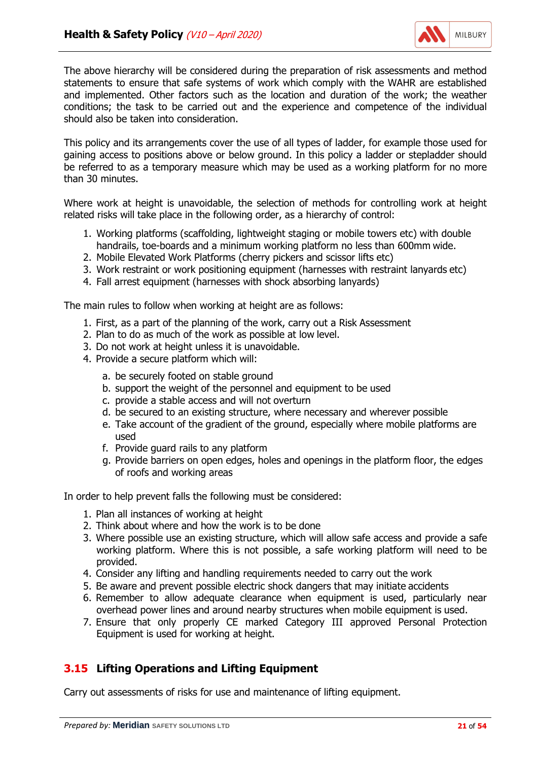

The above hierarchy will be considered during the preparation of risk assessments and method statements to ensure that safe systems of work which comply with the WAHR are established and implemented. Other factors such as the location and duration of the work; the weather conditions; the task to be carried out and the experience and competence of the individual should also be taken into consideration.

This policy and its arrangements cover the use of all types of ladder, for example those used for gaining access to positions above or below ground. In this policy a ladder or stepladder should be referred to as a temporary measure which may be used as a working platform for no more than 30 minutes.

Where work at height is unavoidable, the selection of methods for controlling work at height related risks will take place in the following order, as a hierarchy of control:

- 1. Working platforms (scaffolding, lightweight staging or mobile towers etc) with double handrails, toe-boards and a minimum working platform no less than 600mm wide.
- 2. Mobile Elevated Work Platforms (cherry pickers and scissor lifts etc)
- 3. Work restraint or work positioning equipment (harnesses with restraint lanyards etc)
- 4. Fall arrest equipment (harnesses with shock absorbing lanyards)

The main rules to follow when working at height are as follows:

- 1. First, as a part of the planning of the work, carry out a Risk Assessment
- 2. Plan to do as much of the work as possible at low level.
- 3. Do not work at height unless it is unavoidable.
- 4. Provide a secure platform which will:
	- a. be securely footed on stable ground
	- b. support the weight of the personnel and equipment to be used
	- c. provide a stable access and will not overturn
	- d. be secured to an existing structure, where necessary and wherever possible
	- e. Take account of the gradient of the ground, especially where mobile platforms are used
	- f. Provide guard rails to any platform
	- g. Provide barriers on open edges, holes and openings in the platform floor, the edges of roofs and working areas

In order to help prevent falls the following must be considered:

- 1. Plan all instances of working at height
- 2. Think about where and how the work is to be done
- 3. Where possible use an existing structure, which will allow safe access and provide a safe working platform. Where this is not possible, a safe working platform will need to be provided.
- 4. Consider any lifting and handling requirements needed to carry out the work
- 5. Be aware and prevent possible electric shock dangers that may initiate accidents
- 6. Remember to allow adequate clearance when equipment is used, particularly near overhead power lines and around nearby structures when mobile equipment is used.
- 7. Ensure that only properly CE marked Category III approved Personal Protection Equipment is used for working at height.

# **3.15 Lifting Operations and Lifting Equipment**

Carry out assessments of risks for use and maintenance of lifting equipment.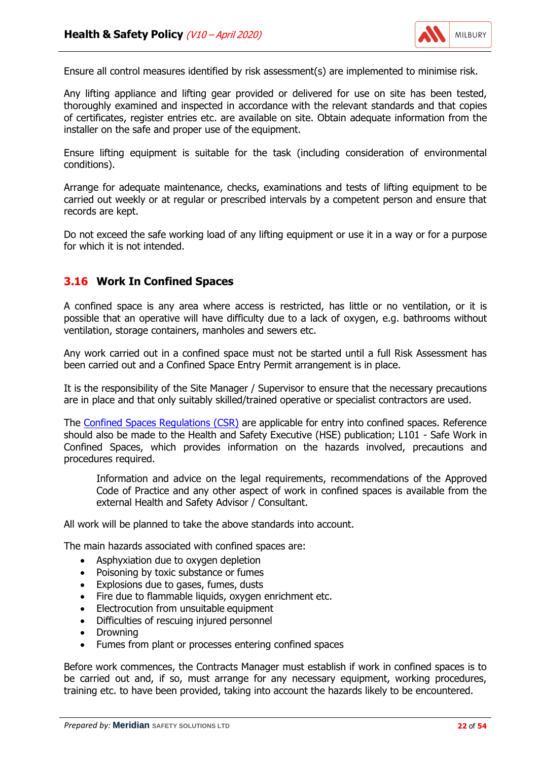

Ensure all control measures identified by risk assessment(s) are implemented to minimise risk.

Any lifting appliance and lifting gear provided or delivered for use on site has been tested, thoroughly examined and inspected in accordance with the relevant standards and that copies of certificates, register entries etc. are available on site. Obtain adequate information from the installer on the safe and proper use of the equipment.

Ensure lifting equipment is suitable for the task (including consideration of environmental conditions).

Arrange for adequate maintenance, checks, examinations and tests of lifting equipment to be carried out weekly or at regular or prescribed intervals by a competent person and ensure that records are kept.

Do not exceed the safe working load of any lifting equipment or use it in a way or for a purpose for which it is not intended.

#### **3.16 Work In Confined Spaces**

A confined space is any area where access is restricted, has little or no ventilation, or it is possible that an operative will have difficulty due to a lack of oxygen, e.g. bathrooms without ventilation, storage containers, manholes and sewers etc.

Any work carried out in a confined space must not be started until a full Risk Assessment has been carried out and a Confined Space Entry Permit arrangement is in place.

It is the responsibility of the Site Manager / Supervisor to ensure that the necessary precautions are in place and that only suitably skilled/trained operative or specialist contractors are used.

The [Confined Spaces Regulations \(CSR\)](http://www.legislation.gov.uk/uksi/1997/1713/contents/made) are applicable for entry into confined spaces. Reference should also be made to the Health and Safety Executive (HSE) publication; L101 - Safe Work in Confined Spaces, which provides information on the hazards involved, precautions and procedures required.

Information and advice on the legal requirements, recommendations of the Approved Code of Practice and any other aspect of work in confined spaces is available from the external Health and Safety Advisor / Consultant.

All work will be planned to take the above standards into account.

The main hazards associated with confined spaces are:

- Asphyxiation due to oxygen depletion
- Poisoning by toxic substance or fumes
- Explosions due to gases, fumes, dusts
- Fire due to flammable liquids, oxygen enrichment etc.
- Electrocution from unsuitable equipment
- Difficulties of rescuing injured personnel
- Drowning
- Fumes from plant or processes entering confined spaces

Before work commences, the Contracts Manager must establish if work in confined spaces is to be carried out and, if so, must arrange for any necessary equipment, working procedures, training etc. to have been provided, taking into account the hazards likely to be encountered.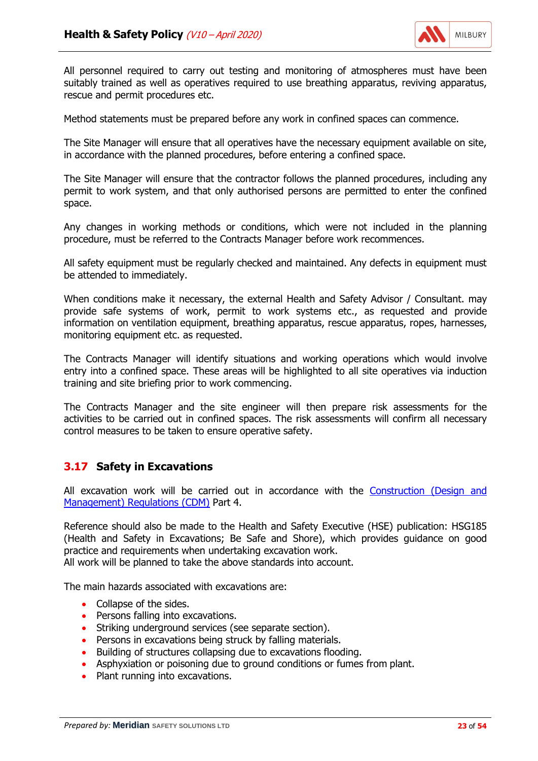

All personnel required to carry out testing and monitoring of atmospheres must have been suitably trained as well as operatives required to use breathing apparatus, reviving apparatus, rescue and permit procedures etc.

Method statements must be prepared before any work in confined spaces can commence.

The Site Manager will ensure that all operatives have the necessary equipment available on site, in accordance with the planned procedures, before entering a confined space.

The Site Manager will ensure that the contractor follows the planned procedures, including any permit to work system, and that only authorised persons are permitted to enter the confined space.

Any changes in working methods or conditions, which were not included in the planning procedure, must be referred to the Contracts Manager before work recommences.

All safety equipment must be regularly checked and maintained. Any defects in equipment must be attended to immediately.

When conditions make it necessary, the external Health and Safety Advisor / Consultant. may provide safe systems of work, permit to work systems etc., as requested and provide information on ventilation equipment, breathing apparatus, rescue apparatus, ropes, harnesses, monitoring equipment etc. as requested.

The Contracts Manager will identify situations and working operations which would involve entry into a confined space. These areas will be highlighted to all site operatives via induction training and site briefing prior to work commencing.

The Contracts Manager and the site engineer will then prepare risk assessments for the activities to be carried out in confined spaces. The risk assessments will confirm all necessary control measures to be taken to ensure operative safety.

#### **3.17 Safety in Excavations**

All excavation work will be carried out in accordance with the [Construction \(Design and](http://www.legislation.gov.uk/uksi/2015/51/contents/made) [Management\) Regulations \(CDM\)](http://www.legislation.gov.uk/uksi/2015/51/contents/made) Part 4.

Reference should also be made to the Health and Safety Executive (HSE) publication: HSG185 (Health and Safety in Excavations; Be Safe and Shore), which provides guidance on good practice and requirements when undertaking excavation work.

All work will be planned to take the above standards into account.

The main hazards associated with excavations are:

- Collapse of the sides.
- Persons falling into excavations.
- Striking underground services (see separate section).
- Persons in excavations being struck by falling materials.
- Building of structures collapsing due to excavations flooding.
- Asphyxiation or poisoning due to ground conditions or fumes from plant.
- Plant running into excavations.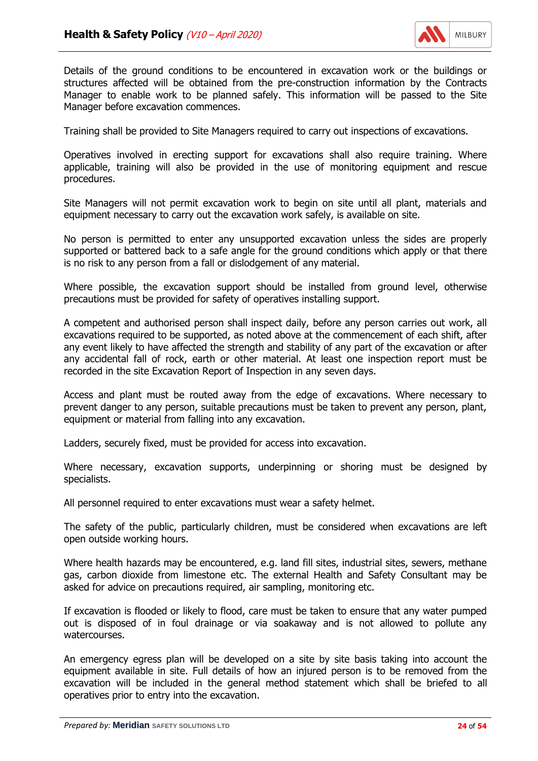

Details of the ground conditions to be encountered in excavation work or the buildings or structures affected will be obtained from the pre-construction information by the Contracts Manager to enable work to be planned safely. This information will be passed to the Site Manager before excavation commences.

Training shall be provided to Site Managers required to carry out inspections of excavations.

Operatives involved in erecting support for excavations shall also require training. Where applicable, training will also be provided in the use of monitoring equipment and rescue procedures.

Site Managers will not permit excavation work to begin on site until all plant, materials and equipment necessary to carry out the excavation work safely, is available on site.

No person is permitted to enter any unsupported excavation unless the sides are properly supported or battered back to a safe angle for the ground conditions which apply or that there is no risk to any person from a fall or dislodgement of any material.

Where possible, the excavation support should be installed from ground level, otherwise precautions must be provided for safety of operatives installing support.

A competent and authorised person shall inspect daily, before any person carries out work, all excavations required to be supported, as noted above at the commencement of each shift, after any event likely to have affected the strength and stability of any part of the excavation or after any accidental fall of rock, earth or other material. At least one inspection report must be recorded in the site Excavation Report of Inspection in any seven days.

Access and plant must be routed away from the edge of excavations. Where necessary to prevent danger to any person, suitable precautions must be taken to prevent any person, plant, equipment or material from falling into any excavation.

Ladders, securely fixed, must be provided for access into excavation.

Where necessary, excavation supports, underpinning or shoring must be designed by specialists.

All personnel required to enter excavations must wear a safety helmet.

The safety of the public, particularly children, must be considered when excavations are left open outside working hours.

Where health hazards may be encountered, e.g. land fill sites, industrial sites, sewers, methane gas, carbon dioxide from limestone etc. The external Health and Safety Consultant may be asked for advice on precautions required, air sampling, monitoring etc.

If excavation is flooded or likely to flood, care must be taken to ensure that any water pumped out is disposed of in foul drainage or via soakaway and is not allowed to pollute any watercourses.

An emergency egress plan will be developed on a site by site basis taking into account the equipment available in site. Full details of how an injured person is to be removed from the excavation will be included in the general method statement which shall be briefed to all operatives prior to entry into the excavation.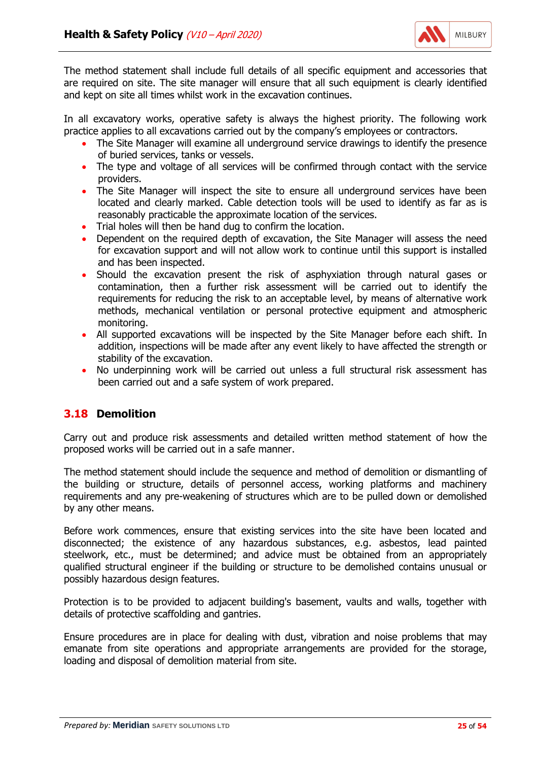

The method statement shall include full details of all specific equipment and accessories that are required on site. The site manager will ensure that all such equipment is clearly identified and kept on site all times whilst work in the excavation continues.

In all excavatory works, operative safety is always the highest priority. The following work practice applies to all excavations carried out by the company's employees or contractors.

- The Site Manager will examine all underground service drawings to identify the presence of buried services, tanks or vessels.
- The type and voltage of all services will be confirmed through contact with the service providers.
- The Site Manager will inspect the site to ensure all underground services have been located and clearly marked. Cable detection tools will be used to identify as far as is reasonably practicable the approximate location of the services.
- Trial holes will then be hand dug to confirm the location.
- Dependent on the required depth of excavation, the Site Manager will assess the need for excavation support and will not allow work to continue until this support is installed and has been inspected.
- Should the excavation present the risk of asphyxiation through natural gases or contamination, then a further risk assessment will be carried out to identify the requirements for reducing the risk to an acceptable level, by means of alternative work methods, mechanical ventilation or personal protective equipment and atmospheric monitoring.
- All supported excavations will be inspected by the Site Manager before each shift. In addition, inspections will be made after any event likely to have affected the strength or stability of the excavation.
- No underpinning work will be carried out unless a full structural risk assessment has been carried out and a safe system of work prepared.

# **3.18 Demolition**

Carry out and produce risk assessments and detailed written method statement of how the proposed works will be carried out in a safe manner.

The method statement should include the sequence and method of demolition or dismantling of the building or structure, details of personnel access, working platforms and machinery requirements and any pre-weakening of structures which are to be pulled down or demolished by any other means.

Before work commences, ensure that existing services into the site have been located and disconnected; the existence of any hazardous substances, e.g. asbestos, lead painted steelwork, etc., must be determined; and advice must be obtained from an appropriately qualified structural engineer if the building or structure to be demolished contains unusual or possibly hazardous design features.

Protection is to be provided to adjacent building's basement, vaults and walls, together with details of protective scaffolding and gantries.

Ensure procedures are in place for dealing with dust, vibration and noise problems that may emanate from site operations and appropriate arrangements are provided for the storage, loading and disposal of demolition material from site.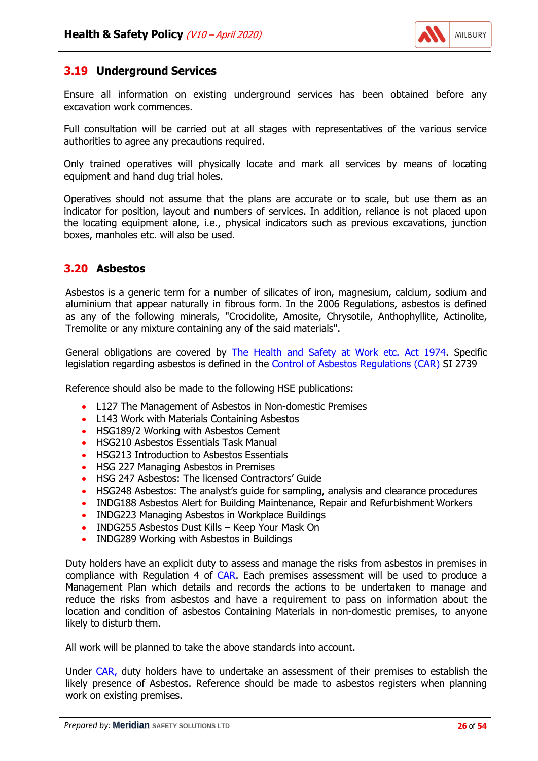

## **3.19 Underground Services**

Ensure all information on existing underground services has been obtained before any excavation work commences.

Full consultation will be carried out at all stages with representatives of the various service authorities to agree any precautions required.

Only trained operatives will physically locate and mark all services by means of locating equipment and hand dug trial holes.

Operatives should not assume that the plans are accurate or to scale, but use them as an indicator for position, layout and numbers of services. In addition, reliance is not placed upon the locating equipment alone, i.e., physical indicators such as previous excavations, junction boxes, manholes etc. will also be used.

## **3.20 Asbestos**

Asbestos is a generic term for a number of silicates of iron, magnesium, calcium, sodium and aluminium that appear naturally in fibrous form. In the 2006 Regulations, asbestos is defined as any of the following minerals, "Crocidolite, Amosite, Chrysotile, Anthophyllite, Actinolite, Tremolite or any mixture containing any of the said materials".

General obligations are covered by [The Health and Safety at Work etc. Act 1974.](http://www.legislation.gov.uk/ukpga/1974/37/contents) Specific legislation regarding asbestos is defined in the [Control of Asbestos Regulations \(CAR\)](http://www.legislation.gov.uk/uksi/2012/632/contents) SI 2739

Reference should also be made to the following HSE publications:

- L127 The Management of Asbestos in Non-domestic Premises
- L143 Work with Materials Containing Asbestos
- HSG189/2 Working with Asbestos Cement
- HSG210 Asbestos Essentials Task Manual
- HSG213 Introduction to Asbestos Essentials
- HSG 227 Managing Asbestos in Premises
- HSG 247 Asbestos: The licensed Contractors' Guide
- HSG248 Asbestos: The analyst's guide for sampling, analysis and clearance procedures
- INDG188 Asbestos Alert for Building Maintenance, Repair and Refurbishment Workers
- INDG223 Managing Asbestos in Workplace Buildings
- INDG255 Asbestos Dust Kills Keep Your Mask On
- INDG289 Working with Asbestos in Buildings

Duty holders have an explicit duty to assess and manage the risks from asbestos in premises in compliance with Regulation 4 of [CAR.](http://www.legislation.gov.uk/uksi/2012/632/contents) Each premises assessment will be used to produce a Management Plan which details and records the actions to be undertaken to manage and reduce the risks from asbestos and have a requirement to pass on information about the location and condition of asbestos Containing Materials in non-domestic premises, to anyone likely to disturb them.

All work will be planned to take the above standards into account.

Under [CAR,](http://www.legislation.gov.uk/uksi/2012/632/contents) duty holders have to undertake an assessment of their premises to establish the likely presence of Asbestos. Reference should be made to asbestos registers when planning work on existing premises.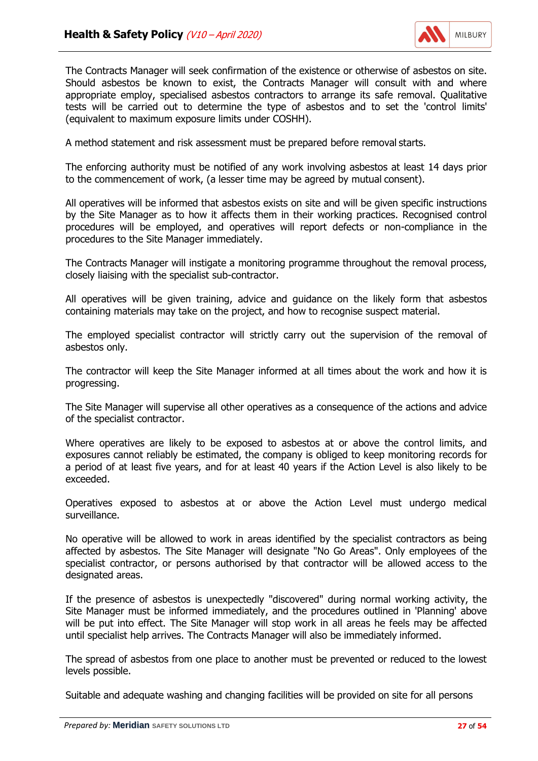

The Contracts Manager will seek confirmation of the existence or otherwise of asbestos on site. Should asbestos be known to exist, the Contracts Manager will consult with and where appropriate employ, specialised asbestos contractors to arrange its safe removal. Qualitative tests will be carried out to determine the type of asbestos and to set the 'control limits' (equivalent to maximum exposure limits under COSHH).

A method statement and risk assessment must be prepared before removal starts.

The enforcing authority must be notified of any work involving asbestos at least 14 days prior to the commencement of work, (a lesser time may be agreed by mutual consent).

All operatives will be informed that asbestos exists on site and will be given specific instructions by the Site Manager as to how it affects them in their working practices. Recognised control procedures will be employed, and operatives will report defects or non-compliance in the procedures to the Site Manager immediately.

The Contracts Manager will instigate a monitoring programme throughout the removal process, closely liaising with the specialist sub-contractor.

All operatives will be given training, advice and guidance on the likely form that asbestos containing materials may take on the project, and how to recognise suspect material.

The employed specialist contractor will strictly carry out the supervision of the removal of asbestos only.

The contractor will keep the Site Manager informed at all times about the work and how it is progressing.

The Site Manager will supervise all other operatives as a consequence of the actions and advice of the specialist contractor.

Where operatives are likely to be exposed to asbestos at or above the control limits, and exposures cannot reliably be estimated, the company is obliged to keep monitoring records for a period of at least five years, and for at least 40 years if the Action Level is also likely to be exceeded.

Operatives exposed to asbestos at or above the Action Level must undergo medical surveillance.

No operative will be allowed to work in areas identified by the specialist contractors as being affected by asbestos. The Site Manager will designate "No Go Areas". Only employees of the specialist contractor, or persons authorised by that contractor will be allowed access to the designated areas.

If the presence of asbestos is unexpectedly "discovered" during normal working activity, the Site Manager must be informed immediately, and the procedures outlined in 'Planning' above will be put into effect. The Site Manager will stop work in all areas he feels may be affected until specialist help arrives. The Contracts Manager will also be immediately informed.

The spread of asbestos from one place to another must be prevented or reduced to the lowest levels possible.

Suitable and adequate washing and changing facilities will be provided on site for all persons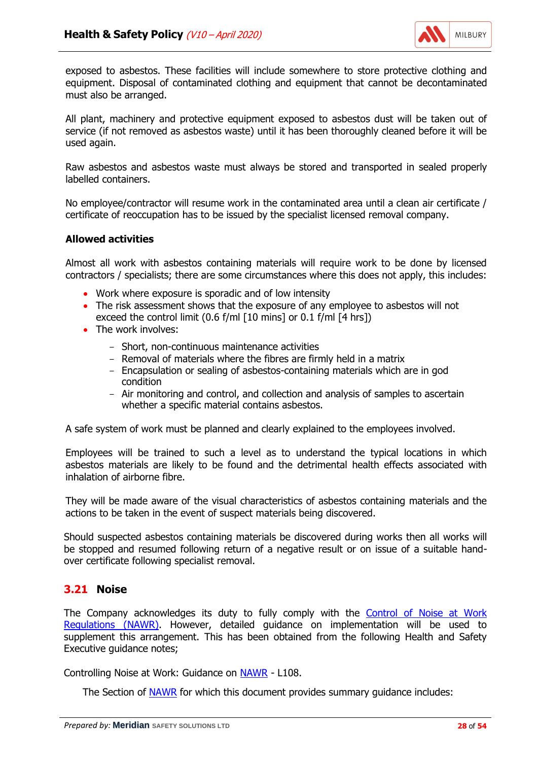

exposed to asbestos. These facilities will include somewhere to store protective clothing and equipment. Disposal of contaminated clothing and equipment that cannot be decontaminated must also be arranged.

All plant, machinery and protective equipment exposed to asbestos dust will be taken out of service (if not removed as asbestos waste) until it has been thoroughly cleaned before it will be used again.

Raw asbestos and asbestos waste must always be stored and transported in sealed properly labelled containers.

No employee/contractor will resume work in the contaminated area until a clean air certificate / certificate of reoccupation has to be issued by the specialist licensed removal company.

#### **Allowed activities**

Almost all work with asbestos containing materials will require work to be done by licensed contractors / specialists; there are some circumstances where this does not apply, this includes:

- Work where exposure is sporadic and of low intensity
- The risk assessment shows that the exposure of any employee to asbestos will not exceed the control limit (0.6 f/ml [10 mins] or 0.1 f/ml [4 hrs])
- The work involves:
	- Short, non-continuous maintenance activities
	- Removal of materials where the fibres are firmly held in a matrix
	- Encapsulation or sealing of asbestos-containing materials which are in god condition
	- Air monitoring and control, and collection and analysis of samples to ascertain whether a specific material contains asbestos.

A safe system of work must be planned and clearly explained to the employees involved.

Employees will be trained to such a level as to understand the typical locations in which asbestos materials are likely to be found and the detrimental health effects associated with inhalation of airborne fibre.

They will be made aware of the visual characteristics of asbestos containing materials and the actions to be taken in the event of suspect materials being discovered.

Should suspected asbestos containing materials be discovered during works then all works will be stopped and resumed following return of a negative result or on issue of a suitable handover certificate following specialist removal.

# **3.21 Noise**

The Company acknowledges its duty to fully comply with the [Control of Noise at Work](http://www.legislation.gov.uk/uksi/2005/1643/contents/made) [Regulations \(NAWR\).](http://www.legislation.gov.uk/uksi/2005/1643/contents/made) However, detailed guidance on implementation will be used to supplement this arrangement. This has been obtained from the following Health and Safety Executive guidance notes;

Controlling Noise at Work: Guidance on [NAWR](http://www.legislation.gov.uk/uksi/2005/1643/contents/made) - L108.

The Section of [NAWR](http://www.legislation.gov.uk/uksi/2005/1643/contents/made) for which this document provides summary guidance includes: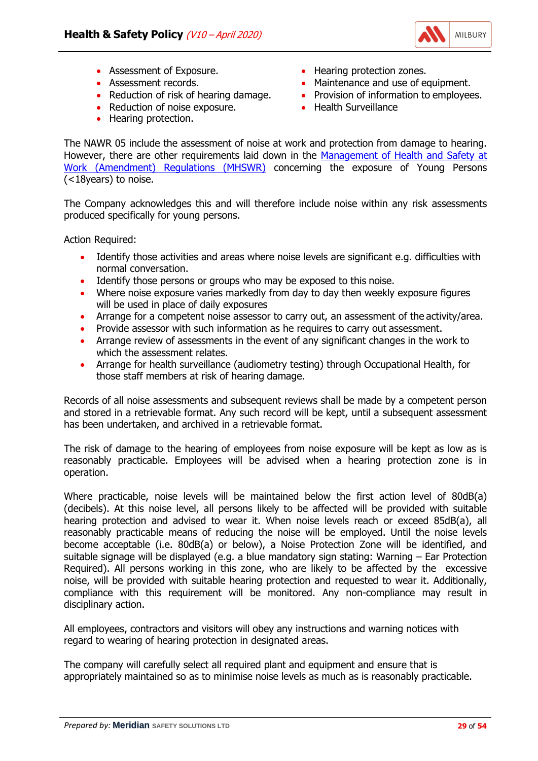

- Assessment of Exposure.
- Assessment records.
- Reduction of risk of hearing damage.
- Reduction of noise exposure.
- Hearing protection.
- Hearing protection zones.
- Maintenance and use of equipment.
- Provision of information to employees.
- Health Surveillance

The NAWR 05 include the assessment of noise at work and protection from damage to hearing. However, there are other requirements laid down in the [Management of Health and Safety at](http://www.legislation.gov.uk/uksi/2006/438/contents/made) [Work \(Amendment\) Regulations \(MHSWR\)](http://www.legislation.gov.uk/uksi/2006/438/contents/made) concerning the exposure of Young Persons (<18years) to noise.

The Company acknowledges this and will therefore include noise within any risk assessments produced specifically for young persons.

Action Required:

- Identify those activities and areas where noise levels are significant e.g. difficulties with normal conversation.
- Identify those persons or groups who may be exposed to this noise.
- Where noise exposure varies markedly from day to day then weekly exposure figures will be used in place of daily exposures
- Arrange for a competent noise assessor to carry out, an assessment of the activity/area.
- Provide assessor with such information as he requires to carry out assessment.
- Arrange review of assessments in the event of any significant changes in the work to which the assessment relates.
- Arrange for health surveillance (audiometry testing) through Occupational Health, for those staff members at risk of hearing damage.

Records of all noise assessments and subsequent reviews shall be made by a competent person and stored in a retrievable format. Any such record will be kept, until a subsequent assessment has been undertaken, and archived in a retrievable format.

The risk of damage to the hearing of employees from noise exposure will be kept as low as is reasonably practicable. Employees will be advised when a hearing protection zone is in operation.

Where practicable, noise levels will be maintained below the first action level of 80dB(a) (decibels). At this noise level, all persons likely to be affected will be provided with suitable hearing protection and advised to wear it. When noise levels reach or exceed 85dB(a), all reasonably practicable means of reducing the noise will be employed. Until the noise levels become acceptable (i.e. 80dB(a) or below), a Noise Protection Zone will be identified, and suitable signage will be displayed (e.g. a blue mandatory sign stating: Warning – Ear Protection Required). All persons working in this zone, who are likely to be affected by the excessive noise, will be provided with suitable hearing protection and requested to wear it. Additionally, compliance with this requirement will be monitored. Any non-compliance may result in disciplinary action.

All employees, contractors and visitors will obey any instructions and warning notices with regard to wearing of hearing protection in designated areas.

The company will carefully select all required plant and equipment and ensure that is appropriately maintained so as to minimise noise levels as much as is reasonably practicable.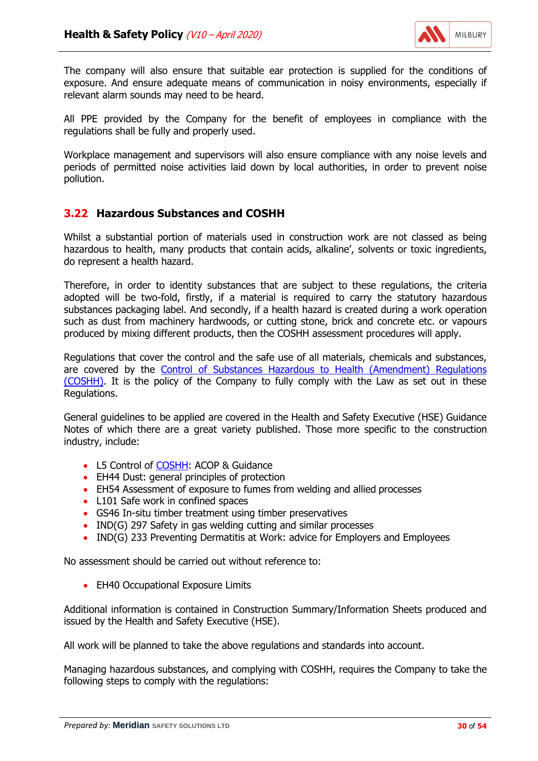

The company will also ensure that suitable ear protection is supplied for the conditions of exposure. And ensure adequate means of communication in noisy environments, especially if relevant alarm sounds may need to be heard.

All PPE provided by the Company for the benefit of employees in compliance with the regulations shall be fully and properly used.

Workplace management and supervisors will also ensure compliance with any noise levels and periods of permitted noise activities laid down by local authorities, in order to prevent noise pollution.

## **3.22 Hazardous Substances and COSHH**

Whilst a substantial portion of materials used in construction work are not classed as being hazardous to health, many products that contain acids, alkaline', solvents or toxic ingredients, do represent a health hazard.

Therefore, in order to identity substances that are subject to these regulations, the criteria adopted will be two-fold, firstly, if a material is required to carry the statutory hazardous substances packaging label. And secondly, if a health hazard is created during a work operation such as dust from machinery hardwoods, or cutting stone, brick and concrete etc. or vapours produced by mixing different products, then the COSHH assessment procedures will apply.

Regulations that cover the control and the safe use of all materials, chemicals and substances, are covered by the [Control of Substances Hazardous to Health \(Amendment\) Regulations](http://www.legislation.gov.uk/uksi/2004/3386/contents/made) [\(COSHH\).](http://www.legislation.gov.uk/uksi/2004/3386/contents/made) It is the policy of the Company to fully comply with the Law as set out in these Regulations.

General guidelines to be applied are covered in the Health and Safety Executive (HSE) Guidance Notes of which there are a great variety published. Those more specific to the construction industry, include:

- L5 Control of [COSHH:](http://www.legislation.gov.uk/uksi/2004/3386/contents/made) ACOP & Guidance
- EH44 Dust: general principles of protection
- EH54 Assessment of exposure to fumes from welding and allied processes
- L101 Safe work in confined spaces
- GS46 In-situ timber treatment using timber preservatives
- IND(G) 297 Safety in gas welding cutting and similar processes
- IND(G) 233 Preventing Dermatitis at Work: advice for Employers and Employees

No assessment should be carried out without reference to:

• EH40 Occupational Exposure Limits

Additional information is contained in Construction Summary/Information Sheets produced and issued by the Health and Safety Executive (HSE).

All work will be planned to take the above regulations and standards into account.

Managing hazardous substances, and complying with COSHH, requires the Company to take the following steps to comply with the regulations: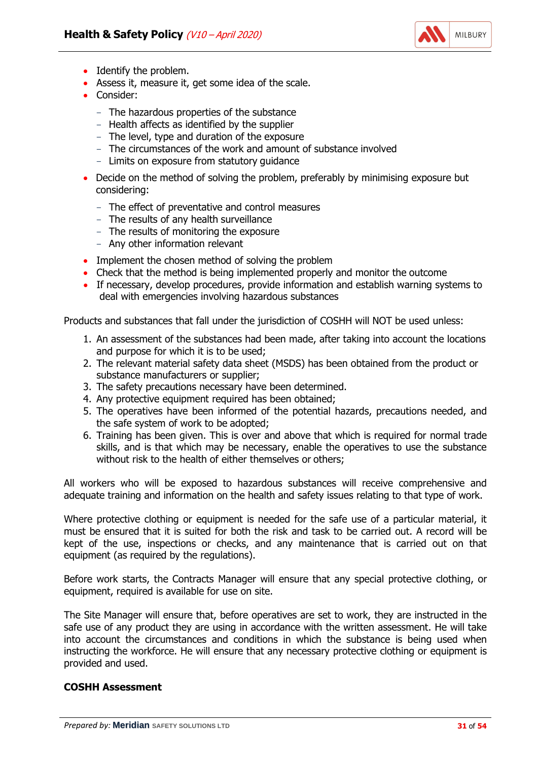

- Identify the problem.
- Assess it, measure it, get some idea of the scale.
- Consider:
	- The hazardous properties of the substance
	- Health affects as identified by the supplier
	- The level, type and duration of the exposure
	- The circumstances of the work and amount of substance involved
	- Limits on exposure from statutory guidance
- Decide on the method of solving the problem, preferably by minimising exposure but considering:
	- The effect of preventative and control measures
	- The results of any health surveillance
	- The results of monitoring the exposure
	- Any other information relevant
- Implement the chosen method of solving the problem
- Check that the method is being implemented properly and monitor the outcome
- If necessary, develop procedures, provide information and establish warning systems to deal with emergencies involving hazardous substances

Products and substances that fall under the jurisdiction of COSHH will NOT be used unless:

- 1. An assessment of the substances had been made, after taking into account the locations and purpose for which it is to be used;
- 2. The relevant material safety data sheet (MSDS) has been obtained from the product or substance manufacturers or supplier;
- 3. The safety precautions necessary have been determined.
- 4. Any protective equipment required has been obtained;
- 5. The operatives have been informed of the potential hazards, precautions needed, and the safe system of work to be adopted;
- 6. Training has been given. This is over and above that which is required for normal trade skills, and is that which may be necessary, enable the operatives to use the substance without risk to the health of either themselves or others;

All workers who will be exposed to hazardous substances will receive comprehensive and adequate training and information on the health and safety issues relating to that type of work.

Where protective clothing or equipment is needed for the safe use of a particular material, it must be ensured that it is suited for both the risk and task to be carried out. A record will be kept of the use, inspections or checks, and any maintenance that is carried out on that equipment (as required by the regulations).

Before work starts, the Contracts Manager will ensure that any special protective clothing, or equipment, required is available for use on site.

The Site Manager will ensure that, before operatives are set to work, they are instructed in the safe use of any product they are using in accordance with the written assessment. He will take into account the circumstances and conditions in which the substance is being used when instructing the workforce. He will ensure that any necessary protective clothing or equipment is provided and used.

#### **COSHH Assessment**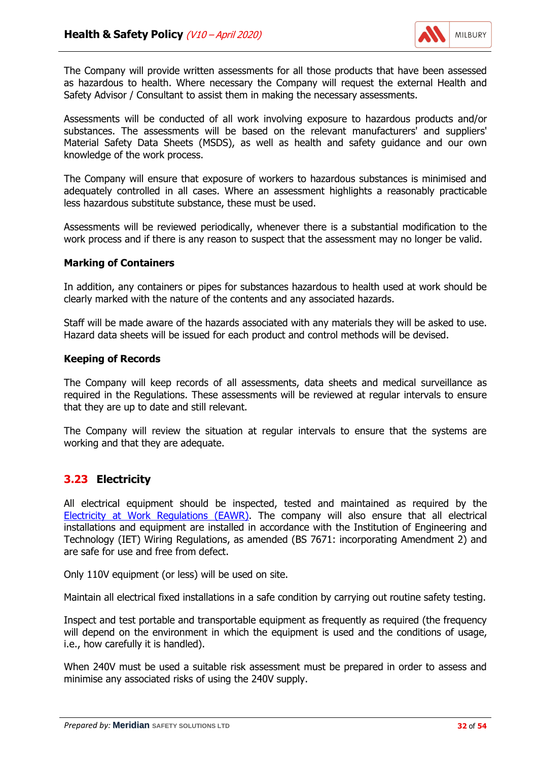

The Company will provide written assessments for all those products that have been assessed as hazardous to health. Where necessary the Company will request the external Health and Safety Advisor / Consultant to assist them in making the necessary assessments.

Assessments will be conducted of all work involving exposure to hazardous products and/or substances. The assessments will be based on the relevant manufacturers' and suppliers' Material Safety Data Sheets (MSDS), as well as health and safety guidance and our own knowledge of the work process.

The Company will ensure that exposure of workers to hazardous substances is minimised and adequately controlled in all cases. Where an assessment highlights a reasonably practicable less hazardous substitute substance, these must be used.

Assessments will be reviewed periodically, whenever there is a substantial modification to the work process and if there is any reason to suspect that the assessment may no longer be valid.

#### **Marking of Containers**

In addition, any containers or pipes for substances hazardous to health used at work should be clearly marked with the nature of the contents and any associated hazards.

Staff will be made aware of the hazards associated with any materials they will be asked to use. Hazard data sheets will be issued for each product and control methods will be devised.

#### **Keeping of Records**

The Company will keep records of all assessments, data sheets and medical surveillance as required in the Regulations. These assessments will be reviewed at regular intervals to ensure that they are up to date and still relevant.

The Company will review the situation at regular intervals to ensure that the systems are working and that they are adequate.

# **3.23 Electricity**

All electrical equipment should be inspected, tested and maintained as required by the [Electricity at Work Regulations \(EAWR\).](http://www.legislation.gov.uk/uksi/1989/635/contents/made) The company will also ensure that all electrical installations and equipment are installed in accordance with the Institution of Engineering and Technology (IET) Wiring Regulations, as amended (BS 7671: incorporating Amendment 2) and are safe for use and free from defect.

Only 110V equipment (or less) will be used on site.

Maintain all electrical fixed installations in a safe condition by carrying out routine safety testing.

Inspect and test portable and transportable equipment as frequently as required (the frequency will depend on the environment in which the equipment is used and the conditions of usage, i.e., how carefully it is handled).

When 240V must be used a suitable risk assessment must be prepared in order to assess and minimise any associated risks of using the 240V supply.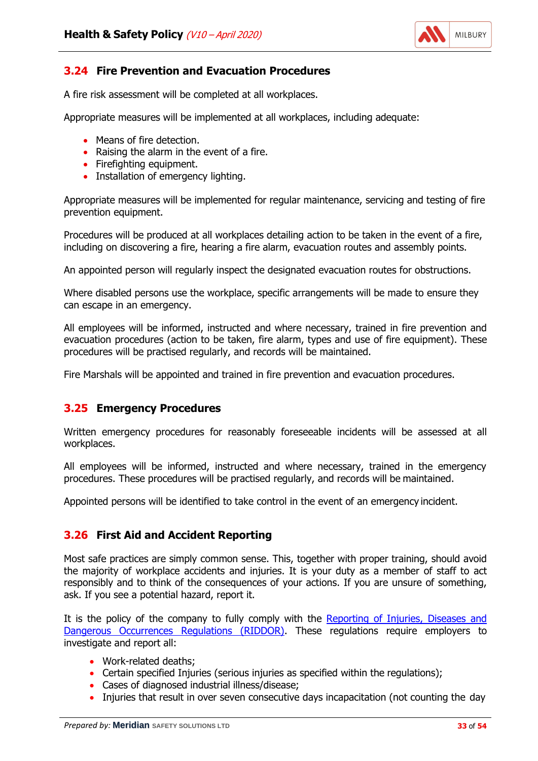

# **3.24 Fire Prevention and Evacuation Procedures**

A fire risk assessment will be completed at all workplaces.

Appropriate measures will be implemented at all workplaces, including adequate:

- Means of fire detection.
- Raising the alarm in the event of a fire.
- Firefighting equipment.
- Installation of emergency lighting.

Appropriate measures will be implemented for regular maintenance, servicing and testing of fire prevention equipment.

Procedures will be produced at all workplaces detailing action to be taken in the event of a fire, including on discovering a fire, hearing a fire alarm, evacuation routes and assembly points.

An appointed person will regularly inspect the designated evacuation routes for obstructions.

Where disabled persons use the workplace, specific arrangements will be made to ensure they can escape in an emergency.

All employees will be informed, instructed and where necessary, trained in fire prevention and evacuation procedures (action to be taken, fire alarm, types and use of fire equipment). These procedures will be practised regularly, and records will be maintained.

Fire Marshals will be appointed and trained in fire prevention and evacuation procedures.

# **3.25 Emergency Procedures**

Written emergency procedures for reasonably foreseeable incidents will be assessed at all workplaces.

All employees will be informed, instructed and where necessary, trained in the emergency procedures. These procedures will be practised regularly, and records will be maintained.

Appointed persons will be identified to take control in the event of an emergency incident.

# **3.26 First Aid and Accident Reporting**

Most safe practices are simply common sense. This, together with proper training, should avoid the majority of workplace accidents and injuries. It is your duty as a member of staff to act responsibly and to think of the consequences of your actions. If you are unsure of something, ask. If you see a potential hazard, report it.

It is the policy of the company to fully comply with the [Reporting of Injuries, Diseases and](http://www.legislation.gov.uk/uksi/2013/1471/contents/made) [Dangerous Occurrences Regulations \(RIDDOR\).](http://www.legislation.gov.uk/uksi/2013/1471/contents/made) These regulations require employers to investigate and report all:

- Work-related deaths;
- Certain specified Injuries (serious injuries as specified within the regulations);
- Cases of diagnosed industrial illness/disease;
- Injuries that result in over seven consecutive days incapacitation (not counting the day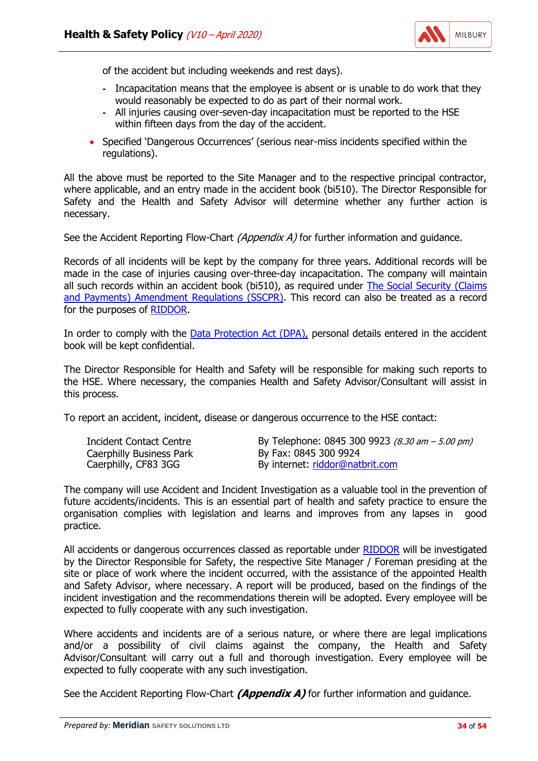

of the accident but including weekends and rest days).

- **-** Incapacitation means that the employee is absent or is unable to do work that they would reasonably be expected to do as part of their normal work.
- **-** All injuries causing over-seven-day incapacitation must be reported to the HSE within fifteen days from the day of the accident.
- Specified 'Dangerous Occurrences' (serious near-miss incidents specified within the regulations).

All the above must be reported to the Site Manager and to the respective principal contractor, where applicable, and an entry made in the accident book (bi510). The Director Responsible for Safety and the Health and Safety Advisor will determine whether any further action is necessary.

See the Accident Reporting Flow-Chart *(Appendix A)* for further information and guidance.

Records of all incidents will be kept by the company for three years. Additional records will be made in the case of injuries causing over-three-day incapacitation. The company will maintain all such records within an accident book (bi510), as required under [The Social Security \(Claims](http://www.legislation.gov.uk/uksi/2013/456/contents/made) [and Payments\) Amendment Regulations \(SSCPR\).](http://www.legislation.gov.uk/uksi/2013/456/contents/made) This record can also be treated as a record for the purposes of [RIDDOR.](http://www.legislation.gov.uk/uksi/2013/1471/contents/made)

In order to comply with the [Data Protection Act \(DPA\),](http://www.legislation.gov.uk/ukpga/1998/29/contents) personal details entered in the accident book will be kept confidential.

The Director Responsible for Health and Safety will be responsible for making such reports to the HSE. Where necessary, the companies Health and Safety Advisor/Consultant will assist in this process.

To report an accident, incident, disease or dangerous occurrence to the HSE contact:

| By Telephone: 0845 300 9923 (8.30 am - 5.00 pm)<br>Incident Contact Centre<br>By Fax: 0845 300 9924<br>Caerphilly Business Park<br>Caerphilly, CF83 3GG<br>By internet: riddor@natbrit.com |  |
|--------------------------------------------------------------------------------------------------------------------------------------------------------------------------------------------|--|
|                                                                                                                                                                                            |  |

The company will use Accident and Incident Investigation as a valuable tool in the prevention of future accidents/incidents. This is an essential part of health and safety practice to ensure the organisation complies with legislation and learns and improves from any lapses in good practice.

All accidents or dangerous occurrences classed as reportable under [RIDDOR](http://www.legislation.gov.uk/uksi/2013/1471/contents/made) will be investigated by the Director Responsible for Safety, the respective Site Manager / Foreman presiding at the site or place of work where the incident occurred, with the assistance of the appointed Health and Safety Advisor, where necessary. A report will be produced, based on the findings of the incident investigation and the recommendations therein will be adopted. Every employee will be expected to fully cooperate with any such investigation.

Where accidents and incidents are of a serious nature, or where there are legal implications and/or a possibility of civil claims against the company, the Health and Safety Advisor/Consultant will carry out a full and thorough investigation. Every employee will be expected to fully cooperate with any such investigation.

See the Accident Reporting Flow-Chart *(Appendix A)* for further information and guidance.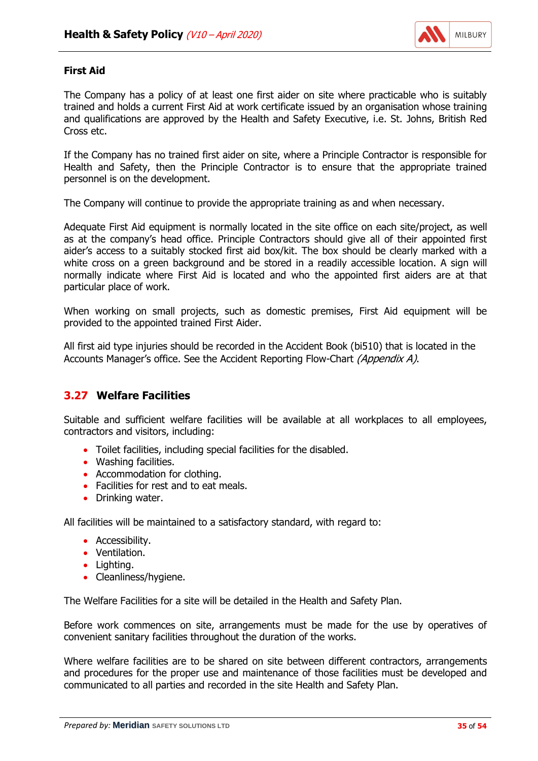

#### **First Aid**

The Company has a policy of at least one first aider on site where practicable who is suitably trained and holds a current First Aid at work certificate issued by an organisation whose training and qualifications are approved by the Health and Safety Executive, i.e. St. Johns, British Red Cross etc.

If the Company has no trained first aider on site, where a Principle Contractor is responsible for Health and Safety, then the Principle Contractor is to ensure that the appropriate trained personnel is on the development.

The Company will continue to provide the appropriate training as and when necessary.

Adequate First Aid equipment is normally located in the site office on each site/project, as well as at the company's head office. Principle Contractors should give all of their appointed first aider's access to a suitably stocked first aid box/kit. The box should be clearly marked with a white cross on a green background and be stored in a readily accessible location. A sign will normally indicate where First Aid is located and who the appointed first aiders are at that particular place of work.

When working on small projects, such as domestic premises, First Aid equipment will be provided to the appointed trained First Aider.

All first aid type injuries should be recorded in the Accident Book (bi510) that is located in the Accounts Manager's office. See the Accident Reporting Flow-Chart (Appendix A).

#### **3.27 Welfare Facilities**

Suitable and sufficient welfare facilities will be available at all workplaces to all employees, contractors and visitors, including:

- Toilet facilities, including special facilities for the disabled.
- Washing facilities.
- Accommodation for clothing.
- Facilities for rest and to eat meals.
- Drinking water.

All facilities will be maintained to a satisfactory standard, with regard to:

- Accessibility.
- Ventilation.
- Lighting.
- Cleanliness/hygiene.

The Welfare Facilities for a site will be detailed in the Health and Safety Plan.

Before work commences on site, arrangements must be made for the use by operatives of convenient sanitary facilities throughout the duration of the works.

Where welfare facilities are to be shared on site between different contractors, arrangements and procedures for the proper use and maintenance of those facilities must be developed and communicated to all parties and recorded in the site Health and Safety Plan.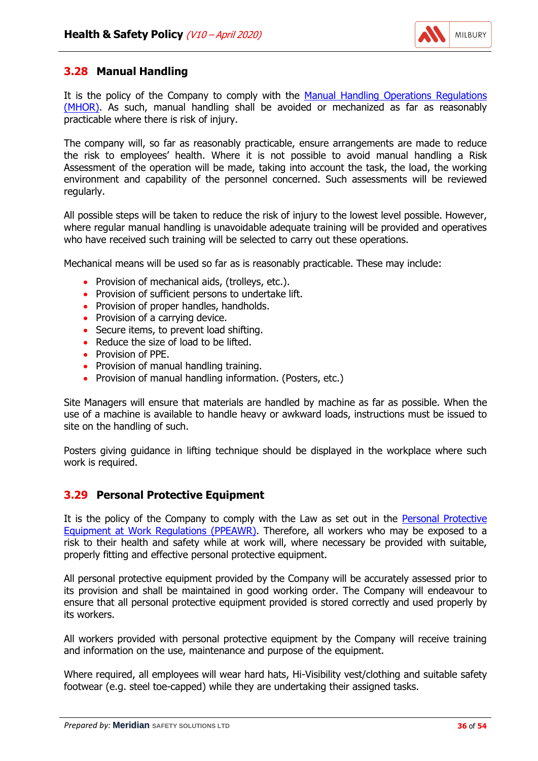

# **3.28 Manual Handling**

It is the policy of the Company to comply with the [Manual Handling Operations Regulations](http://www.legislation.gov.uk/uksi/1992/2793/contents/made) [\(MHOR\).](http://www.legislation.gov.uk/uksi/1992/2793/contents/made) As such, manual handling shall be avoided or mechanized as far as reasonably practicable where there is risk of injury.

The company will, so far as reasonably practicable, ensure arrangements are made to reduce the risk to employees' health. Where it is not possible to avoid manual handling a Risk Assessment of the operation will be made, taking into account the task, the load, the working environment and capability of the personnel concerned. Such assessments will be reviewed regularly.

All possible steps will be taken to reduce the risk of injury to the lowest level possible. However, where regular manual handling is unavoidable adequate training will be provided and operatives who have received such training will be selected to carry out these operations.

Mechanical means will be used so far as is reasonably practicable. These may include:

- Provision of mechanical aids, (trolleys, etc.).
- Provision of sufficient persons to undertake lift.
- Provision of proper handles, handholds.
- Provision of a carrying device.
- Secure items, to prevent load shifting.
- Reduce the size of load to be lifted.
- Provision of PPE.
- Provision of manual handling training.
- Provision of manual handling information. (Posters, etc.)

Site Managers will ensure that materials are handled by machine as far as possible. When the use of a machine is available to handle heavy or awkward loads, instructions must be issued to site on the handling of such.

Posters giving guidance in lifting technique should be displayed in the workplace where such work is required.

# **3.29 Personal Protective Equipment**

It is the policy of the Company to comply with the Law as set out in the [Personal Protective](http://www.legislation.gov.uk/uksi/1992/2966/contents/made) [Equipment at Work Regulations \(PPEAWR\).](http://www.legislation.gov.uk/uksi/1992/2966/contents/made) Therefore, all workers who may be exposed to a risk to their health and safety while at work will, where necessary be provided with suitable, properly fitting and effective personal protective equipment.

All personal protective equipment provided by the Company will be accurately assessed prior to its provision and shall be maintained in good working order. The Company will endeavour to ensure that all personal protective equipment provided is stored correctly and used properly by its workers.

All workers provided with personal protective equipment by the Company will receive training and information on the use, maintenance and purpose of the equipment.

Where required, all employees will wear hard hats, Hi-Visibility vest/clothing and suitable safety footwear (e.g. steel toe-capped) while they are undertaking their assigned tasks.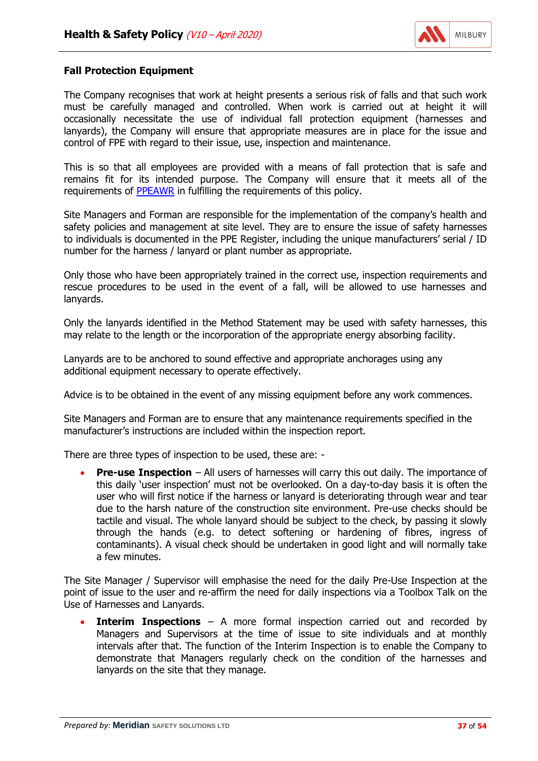

#### **Fall Protection Equipment**

The Company recognises that work at height presents a serious risk of falls and that such work must be carefully managed and controlled. When work is carried out at height it will occasionally necessitate the use of individual fall protection equipment (harnesses and lanyards), the Company will ensure that appropriate measures are in place for the issue and control of FPE with regard to their issue, use, inspection and maintenance.

This is so that all employees are provided with a means of fall protection that is safe and remains fit for its intended purpose. The Company will ensure that it meets all of the requirements of [PPEAWR](http://www.legislation.gov.uk/uksi/1992/2966/contents/made) in fulfilling the requirements of this policy.

Site Managers and Forman are responsible for the implementation of the company's health and safety policies and management at site level. They are to ensure the issue of safety harnesses to individuals is documented in the PPE Register, including the unique manufacturers' serial / ID number for the harness / lanyard or plant number as appropriate.

Only those who have been appropriately trained in the correct use, inspection requirements and rescue procedures to be used in the event of a fall, will be allowed to use harnesses and lanyards.

Only the lanyards identified in the Method Statement may be used with safety harnesses, this may relate to the length or the incorporation of the appropriate energy absorbing facility.

Lanyards are to be anchored to sound effective and appropriate anchorages using any additional equipment necessary to operate effectively.

Advice is to be obtained in the event of any missing equipment before any work commences.

Site Managers and Forman are to ensure that any maintenance requirements specified in the manufacturer's instructions are included within the inspection report.

There are three types of inspection to be used, these are: -

• **Pre-use Inspection** – All users of harnesses will carry this out daily. The importance of this daily 'user inspection' must not be overlooked. On a day-to-day basis it is often the user who will first notice if the harness or lanyard is deteriorating through wear and tear due to the harsh nature of the construction site environment. Pre-use checks should be tactile and visual. The whole lanyard should be subject to the check, by passing it slowly through the hands (e.g. to detect softening or hardening of fibres, ingress of contaminants). A visual check should be undertaken in good light and will normally take a few minutes.

The Site Manager / Supervisor will emphasise the need for the daily Pre-Use Inspection at the point of issue to the user and re-affirm the need for daily inspections via a Toolbox Talk on the Use of Harnesses and Lanyards.

**Interim Inspections** – A more formal inspection carried out and recorded by Managers and Supervisors at the time of issue to site individuals and at monthly intervals after that. The function of the Interim Inspection is to enable the Company to demonstrate that Managers regularly check on the condition of the harnesses and lanyards on the site that they manage.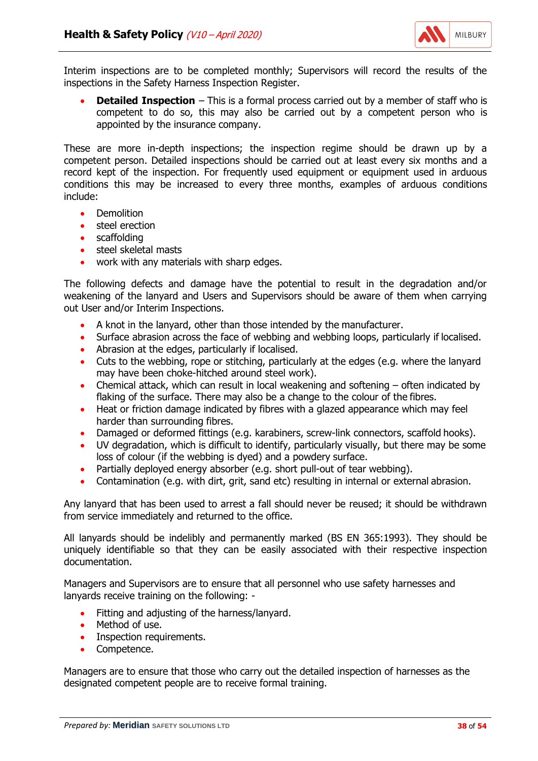

Interim inspections are to be completed monthly; Supervisors will record the results of the inspections in the Safety Harness Inspection Register.

**Detailed Inspection** – This is a formal process carried out by a member of staff who is competent to do so, this may also be carried out by a competent person who is appointed by the insurance company.

These are more in-depth inspections; the inspection regime should be drawn up by a competent person. Detailed inspections should be carried out at least every six months and a record kept of the inspection. For frequently used equipment or equipment used in arduous conditions this may be increased to every three months, examples of arduous conditions include:

- **Demolition**
- steel erection
- scaffolding
- steel skeletal masts
- work with any materials with sharp edges.

The following defects and damage have the potential to result in the degradation and/or weakening of the lanyard and Users and Supervisors should be aware of them when carrying out User and/or Interim Inspections.

- A knot in the lanyard, other than those intended by the manufacturer.
- Surface abrasion across the face of webbing and webbing loops, particularly if localised.
- Abrasion at the edges, particularly if localised.
- Cuts to the webbing, rope or stitching, particularly at the edges (e.g. where the lanyard may have been choke-hitched around steel work).
- Chemical attack, which can result in local weakening and softening often indicated by flaking of the surface. There may also be a change to the colour of the fibres.
- Heat or friction damage indicated by fibres with a glazed appearance which may feel harder than surrounding fibres.
- Damaged or deformed fittings (e.g. karabiners, screw-link connectors, scaffold hooks).
- UV degradation, which is difficult to identify, particularly visually, but there may be some loss of colour (if the webbing is dyed) and a powdery surface.
- Partially deployed energy absorber (e.g. short pull-out of tear webbing).
- Contamination (e.g. with dirt, grit, sand etc) resulting in internal or external abrasion.

Any lanyard that has been used to arrest a fall should never be reused; it should be withdrawn from service immediately and returned to the office.

All lanyards should be indelibly and permanently marked (BS EN 365:1993). They should be uniquely identifiable so that they can be easily associated with their respective inspection documentation.

Managers and Supervisors are to ensure that all personnel who use safety harnesses and lanyards receive training on the following: -

- Fitting and adjusting of the harness/lanyard.
- Method of use.
- Inspection requirements.
- Competence.

Managers are to ensure that those who carry out the detailed inspection of harnesses as the designated competent people are to receive formal training.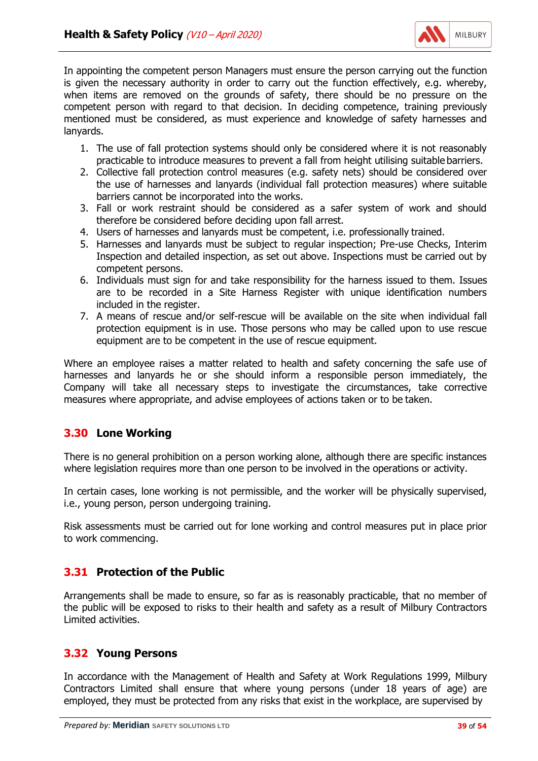

In appointing the competent person Managers must ensure the person carrying out the function is given the necessary authority in order to carry out the function effectively, e.g. whereby, when items are removed on the grounds of safety, there should be no pressure on the competent person with regard to that decision. In deciding competence, training previously mentioned must be considered, as must experience and knowledge of safety harnesses and lanyards.

- 1. The use of fall protection systems should only be considered where it is not reasonably practicable to introduce measures to prevent a fall from height utilising suitable barriers.
- 2. Collective fall protection control measures (e.g. safety nets) should be considered over the use of harnesses and lanyards (individual fall protection measures) where suitable barriers cannot be incorporated into the works.
- 3. Fall or work restraint should be considered as a safer system of work and should therefore be considered before deciding upon fall arrest.
- 4. Users of harnesses and lanyards must be competent, i.e. professionally trained.
- 5. Harnesses and lanyards must be subject to regular inspection; Pre-use Checks, Interim Inspection and detailed inspection, as set out above. Inspections must be carried out by competent persons.
- 6. Individuals must sign for and take responsibility for the harness issued to them. Issues are to be recorded in a Site Harness Register with unique identification numbers included in the register.
- 7. A means of rescue and/or self-rescue will be available on the site when individual fall protection equipment is in use. Those persons who may be called upon to use rescue equipment are to be competent in the use of rescue equipment.

Where an employee raises a matter related to health and safety concerning the safe use of harnesses and lanyards he or she should inform a responsible person immediately, the Company will take all necessary steps to investigate the circumstances, take corrective measures where appropriate, and advise employees of actions taken or to be taken.

# **3.30 Lone Working**

There is no general prohibition on a person working alone, although there are specific instances where legislation requires more than one person to be involved in the operations or activity.

In certain cases, lone working is not permissible, and the worker will be physically supervised, i.e., young person, person undergoing training.

Risk assessments must be carried out for lone working and control measures put in place prior to work commencing.

# **3.31 Protection of the Public**

Arrangements shall be made to ensure, so far as is reasonably practicable, that no member of the public will be exposed to risks to their health and safety as a result of Milbury Contractors Limited activities.

# **3.32 Young Persons**

In accordance with the Management of Health and Safety at Work Regulations 1999, Milbury Contractors Limited shall ensure that where young persons (under 18 years of age) are employed, they must be protected from any risks that exist in the workplace, are supervised by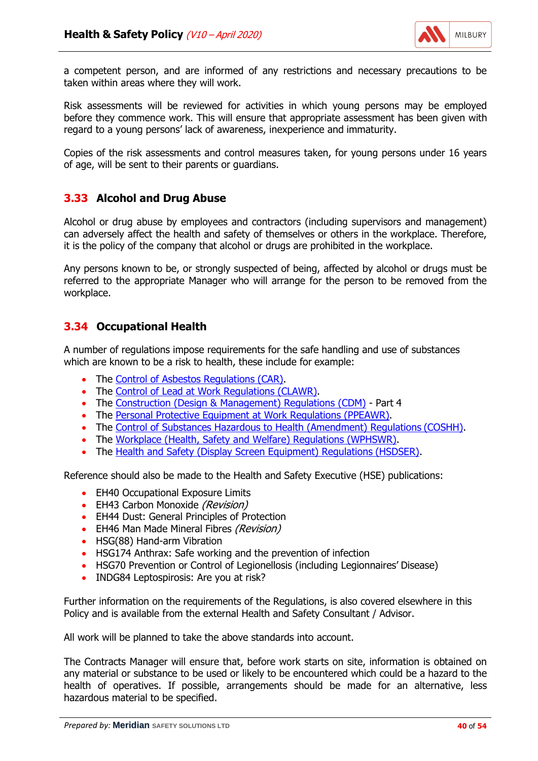

a competent person, and are informed of any restrictions and necessary precautions to be taken within areas where they will work.

Risk assessments will be reviewed for activities in which young persons may be employed before they commence work. This will ensure that appropriate assessment has been given with regard to a young persons' lack of awareness, inexperience and immaturity.

Copies of the risk assessments and control measures taken, for young persons under 16 years of age, will be sent to their parents or guardians.

# **3.33 Alcohol and Drug Abuse**

Alcohol or drug abuse by employees and contractors (including supervisors and management) can adversely affect the health and safety of themselves or others in the workplace. Therefore, it is the policy of the company that alcohol or drugs are prohibited in the workplace.

Any persons known to be, or strongly suspected of being, affected by alcohol or drugs must be referred to the appropriate Manager who will arrange for the person to be removed from the workplace.

#### **3.34 Occupational Health**

A number of regulations impose requirements for the safe handling and use of substances which are known to be a risk to health, these include for example:

- The Control of [Asbestos Regulations](http://www.legislation.gov.uk/uksi/2012/632/contents/made) (CAR).
- The [Control of Lead at Work Regulations](http://www.legislation.gov.uk/uksi/2002/2676/contents/made) (CLAWR).
- The [Construction \(Design & Management\) Regulations \(CDM\)](http://www.legislation.gov.uk/uksi/2015/51/contents/made) Part 4
- The [Personal Protective Equipment at Work Regulations](http://www.legislation.gov.uk/uksi/1992/2966/contents/made) (PPEAWR).
- The [Control of Substances Hazardous to Health \(Amendment\) Regulations](http://www.legislation.gov.uk/uksi/2004/3386/contents/made) (COSHH).
- The [Workplace \(Health, Safety and Welfare\) Regulations](http://www.legislation.gov.uk/uksi/1992/3004/contents/made) (WPHSWR).
- The [Health and Safety \(Display Screen Equipment\) Regulations](http://www.legislation.gov.uk/uksi/1992/2792/contents/made) (HSDSER).

Reference should also be made to the Health and Safety Executive (HSE) publications:

- EH40 Occupational Exposure Limits
- EH43 Carbon Monoxide (Revision)
- EH44 Dust: General Principles of Protection
- EH46 Man Made Mineral Fibres (Revision)
- HSG(88) Hand-arm Vibration
- HSG174 Anthrax: Safe working and the prevention of infection
- HSG70 Prevention or Control of Legionellosis (including Legionnaires' Disease)
- INDG84 Leptospirosis: Are you at risk?

Further information on the requirements of the Regulations, is also covered elsewhere in this Policy and is available from the external Health and Safety Consultant / Advisor.

All work will be planned to take the above standards into account.

The Contracts Manager will ensure that, before work starts on site, information is obtained on any material or substance to be used or likely to be encountered which could be a hazard to the health of operatives. If possible, arrangements should be made for an alternative, less hazardous material to be specified.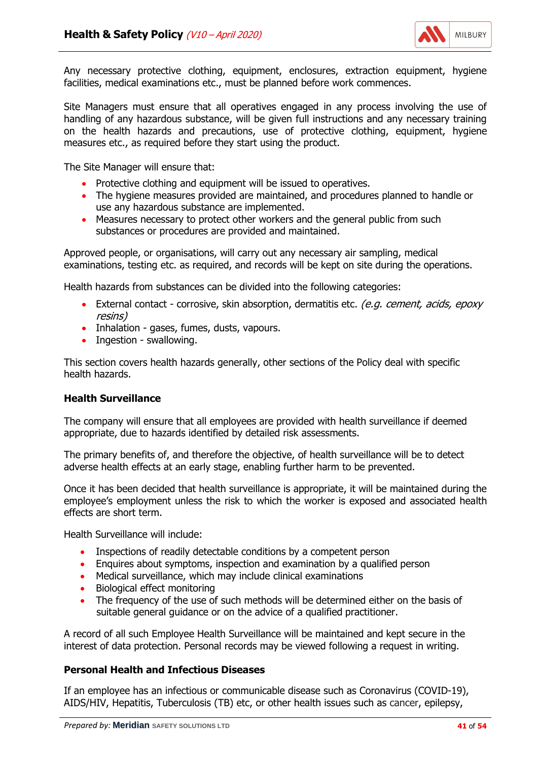

Any necessary protective clothing, equipment, enclosures, extraction equipment, hygiene facilities, medical examinations etc., must be planned before work commences.

Site Managers must ensure that all operatives engaged in any process involving the use of handling of any hazardous substance, will be given full instructions and any necessary training on the health hazards and precautions, use of protective clothing, equipment, hygiene measures etc., as required before they start using the product.

The Site Manager will ensure that:

- Protective clothing and equipment will be issued to operatives.
- The hygiene measures provided are maintained, and procedures planned to handle or use any hazardous substance are implemented.
- Measures necessary to protect other workers and the general public from such substances or procedures are provided and maintained.

Approved people, or organisations, will carry out any necessary air sampling, medical examinations, testing etc. as required, and records will be kept on site during the operations.

Health hazards from substances can be divided into the following categories:

- External contact corrosive, skin absorption, dermatitis etc. (e.g. cement, acids, epoxy resins)
- Inhalation gases, fumes, dusts, vapours.
- Ingestion swallowing.

This section covers health hazards generally, other sections of the Policy deal with specific health hazards.

#### **Health Surveillance**

The company will ensure that all employees are provided with health surveillance if deemed appropriate, due to hazards identified by detailed risk assessments.

The primary benefits of, and therefore the objective, of health surveillance will be to detect adverse health effects at an early stage, enabling further harm to be prevented.

Once it has been decided that health surveillance is appropriate, it will be maintained during the employee's employment unless the risk to which the worker is exposed and associated health effects are short term.

Health Surveillance will include:

- Inspections of readily detectable conditions by a competent person
- Enquires about symptoms, inspection and examination by a qualified person
- Medical surveillance, which may include clinical examinations
- Biological effect monitoring
- The frequency of the use of such methods will be determined either on the basis of suitable general guidance or on the advice of a qualified practitioner.

A record of all such Employee Health Surveillance will be maintained and kept secure in the interest of data protection. Personal records may be viewed following a request in writing.

#### **Personal Health and Infectious Diseases**

If an employee has an infectious or communicable disease such as Coronavirus (COVID-19), AIDS/HIV, Hepatitis, Tuberculosis (TB) etc, or other health issues such as cancer, epilepsy,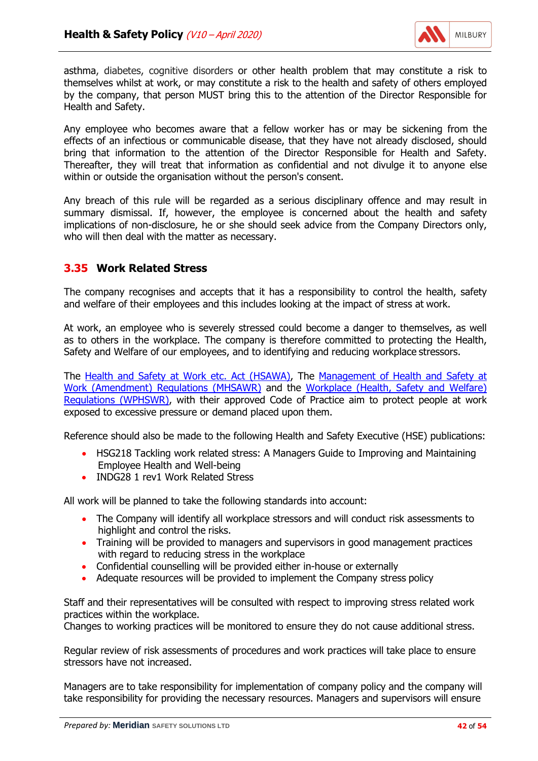

asthma, diabetes, cognitive disorders or other health problem that may constitute a risk to themselves whilst at work, or may constitute a risk to the health and safety of others employed by the company, that person MUST bring this to the attention of the Director Responsible for Health and Safety.

Any employee who becomes aware that a fellow worker has or may be sickening from the effects of an infectious or communicable disease, that they have not already disclosed, should bring that information to the attention of the Director Responsible for Health and Safety. Thereafter, they will treat that information as confidential and not divulge it to anyone else within or outside the organisation without the person's consent.

Any breach of this rule will be regarded as a serious disciplinary offence and may result in summary dismissal. If, however, the employee is concerned about the health and safety implications of non-disclosure, he or she should seek advice from the Company Directors only, who will then deal with the matter as necessary.

# **3.35 Work Related Stress**

The company recognises and accepts that it has a responsibility to control the health, safety and welfare of their employees and this includes looking at the impact of stress at work.

At work, an employee who is severely stressed could become a danger to themselves, as well as to others in the workplace. The company is therefore committed to protecting the Health, Safety and Welfare of our employees, and to identifying and reducing workplace stressors.

The [Health and Safety at Work etc. Act \(HSAWA\),](http://www.legislation.gov.uk/ukpga/1974/37/contents) The [Management of Health and Safety at](http://www.legislation.gov.uk/uksi/2006/438/contents/made) [Work \(Amendment\) Regulations \(MHSAWR\)](http://www.legislation.gov.uk/uksi/2006/438/contents/made) and the [Workplace \(Health, Safety and Welfare\)](http://www.legislation.gov.uk/uksi/1992/3004/contents/made) [Regulations \(WPHSWR\),](http://www.legislation.gov.uk/uksi/1992/3004/contents/made) with their approved Code of Practice aim to protect people at work exposed to excessive pressure or demand placed upon them.

Reference should also be made to the following Health and Safety Executive (HSE) publications:

- HSG218 Tackling work related stress: A Managers Guide to Improving and Maintaining Employee Health and Well-being
- INDG28 1 rev1 Work Related Stress

All work will be planned to take the following standards into account:

- The Company will identify all workplace stressors and will conduct risk assessments to highlight and control the risks.
- Training will be provided to managers and supervisors in good management practices with regard to reducing stress in the workplace
- Confidential counselling will be provided either in-house or externally
- Adequate resources will be provided to implement the Company stress policy

Staff and their representatives will be consulted with respect to improving stress related work practices within the workplace.

Changes to working practices will be monitored to ensure they do not cause additional stress.

Regular review of risk assessments of procedures and work practices will take place to ensure stressors have not increased.

Managers are to take responsibility for implementation of company policy and the company will take responsibility for providing the necessary resources. Managers and supervisors will ensure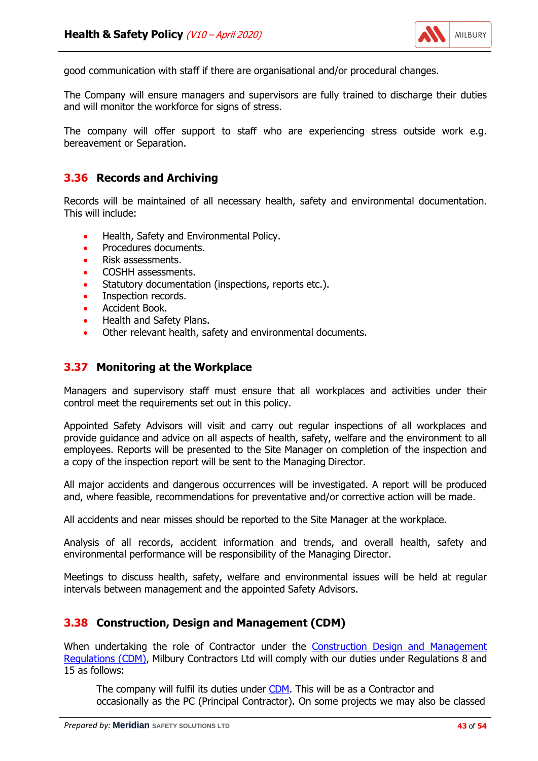

good communication with staff if there are organisational and/or procedural changes.

The Company will ensure managers and supervisors are fully trained to discharge their duties and will monitor the workforce for signs of stress.

The company will offer support to staff who are experiencing stress outside work e.g. bereavement or Separation.

#### **3.36 Records and Archiving**

Records will be maintained of all necessary health, safety and environmental documentation. This will include:

- Health, Safety and Environmental Policy.
- Procedures documents.
- Risk assessments.
- COSHH assessments.
- Statutory documentation (inspections, reports etc.).
- Inspection records.
- Accident Book.
- Health and Safety Plans.
- Other relevant health, safety and environmental documents.

#### **3.37 Monitoring at the Workplace**

Managers and supervisory staff must ensure that all workplaces and activities under their control meet the requirements set out in this policy.

Appointed Safety Advisors will visit and carry out regular inspections of all workplaces and provide guidance and advice on all aspects of health, safety, welfare and the environment to all employees. Reports will be presented to the Site Manager on completion of the inspection and a copy of the inspection report will be sent to the Managing Director.

All major accidents and dangerous occurrences will be investigated. A report will be produced and, where feasible, recommendations for preventative and/or corrective action will be made.

All accidents and near misses should be reported to the Site Manager at the workplace.

Analysis of all records, accident information and trends, and overall health, safety and environmental performance will be responsibility of the Managing Director.

Meetings to discuss health, safety, welfare and environmental issues will be held at regular intervals between management and the appointed Safety Advisors.

#### **3.38 Construction, Design and Management (CDM)**

When undertaking the role of Contractor under the [Construction Design and Management](http://www.legislation.gov.uk/uksi/2015/51/contents/made) [Regulations \(CDM\),](http://www.legislation.gov.uk/uksi/2015/51/contents/made) Milbury Contractors Ltd will comply with our duties under Regulations 8 and 15 as follows:

The company will fulfil its duties under [CDM.](http://www.legislation.gov.uk/uksi/2015/51/contents/made) This will be as a Contractor and occasionally as the PC (Principal Contractor). On some projects we may also be classed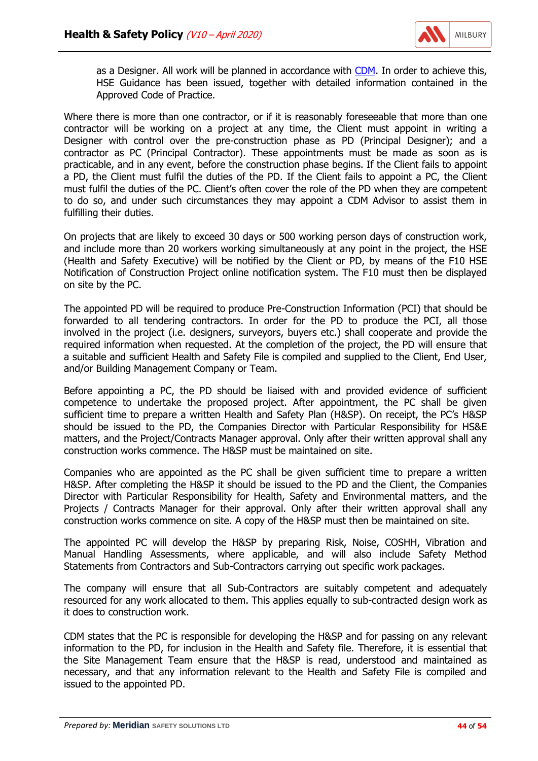

as a Designer. All work will be planned in accordance with [CDM.](http://www.legislation.gov.uk/uksi/2015/51/contents/made) In order to achieve this, HSE Guidance has been issued, together with detailed information contained in the Approved Code of Practice.

Where there is more than one contractor, or if it is reasonably foreseeable that more than one contractor will be working on a project at any time, the Client must appoint in writing a Designer with control over the pre-construction phase as PD (Principal Designer); and a contractor as PC (Principal Contractor). These appointments must be made as soon as is practicable, and in any event, before the construction phase begins. If the Client fails to appoint a PD, the Client must fulfil the duties of the PD. If the Client fails to appoint a PC, the Client must fulfil the duties of the PC. Client's often cover the role of the PD when they are competent to do so, and under such circumstances they may appoint a CDM Advisor to assist them in fulfilling their duties.

On projects that are likely to exceed 30 days or 500 working person days of construction work, and include more than 20 workers working simultaneously at any point in the project, the HSE (Health and Safety Executive) will be notified by the Client or PD, by means of the F10 HSE Notification of Construction Project online notification system. The F10 must then be displayed on site by the PC.

The appointed PD will be required to produce Pre-Construction Information (PCI) that should be forwarded to all tendering contractors. In order for the PD to produce the PCI, all those involved in the project (i.e. designers, surveyors, buyers etc.) shall cooperate and provide the required information when requested. At the completion of the project, the PD will ensure that a suitable and sufficient Health and Safety File is compiled and supplied to the Client, End User, and/or Building Management Company or Team.

Before appointing a PC, the PD should be liaised with and provided evidence of sufficient competence to undertake the proposed project. After appointment, the PC shall be given sufficient time to prepare a written Health and Safety Plan (H&SP). On receipt, the PC's H&SP should be issued to the PD, the Companies Director with Particular Responsibility for HS&E matters, and the Project/Contracts Manager approval. Only after their written approval shall any construction works commence. The H&SP must be maintained on site.

Companies who are appointed as the PC shall be given sufficient time to prepare a written H&SP. After completing the H&SP it should be issued to the PD and the Client, the Companies Director with Particular Responsibility for Health, Safety and Environmental matters, and the Projects / Contracts Manager for their approval. Only after their written approval shall any construction works commence on site. A copy of the H&SP must then be maintained on site.

The appointed PC will develop the H&SP by preparing Risk, Noise, COSHH, Vibration and Manual Handling Assessments, where applicable, and will also include Safety Method Statements from Contractors and Sub-Contractors carrying out specific work packages.

The company will ensure that all Sub-Contractors are suitably competent and adequately resourced for any work allocated to them. This applies equally to sub-contracted design work as it does to construction work.

CDM states that the PC is responsible for developing the H&SP and for passing on any relevant information to the PD, for inclusion in the Health and Safety file. Therefore, it is essential that the Site Management Team ensure that the H&SP is read, understood and maintained as necessary, and that any information relevant to the Health and Safety File is compiled and issued to the appointed PD.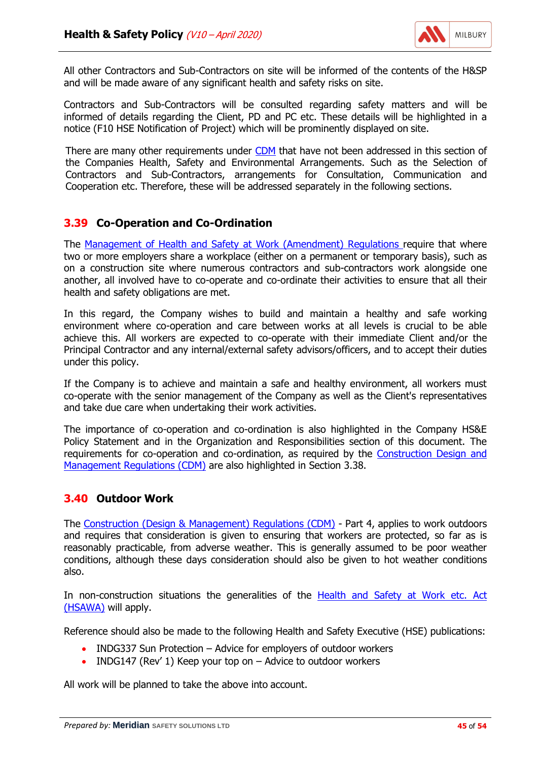

All other Contractors and Sub-Contractors on site will be informed of the contents of the H&SP and will be made aware of any significant health and safety risks on site.

Contractors and Sub-Contractors will be consulted regarding safety matters and will be informed of details regarding the Client, PD and PC etc. These details will be highlighted in a notice (F10 HSE Notification of Project) which will be prominently displayed on site.

There are many other requirements under [CDM](http://www.legislation.gov.uk/uksi/2015/51/contents/made) that have not been addressed in this section of the Companies Health, Safety and Environmental Arrangements. Such as the Selection of Contractors and Sub-Contractors, arrangements for Consultation, Communication and Cooperation etc. Therefore, these will be addressed separately in the following sections.

## **3.39 Co-Operation and Co-Ordination**

The [Management of Health and Safety at Work \(Amendment\) Regulations r](http://www.legislation.gov.uk/uksi/2006/438/contents/made)equire that where two or more employers share a workplace (either on a permanent or temporary basis), such as on a construction site where numerous contractors and sub-contractors work alongside one another, all involved have to co-operate and co-ordinate their activities to ensure that all their health and safety obligations are met.

In this regard, the Company wishes to build and maintain a healthy and safe working environment where co-operation and care between works at all levels is crucial to be able achieve this. All workers are expected to co-operate with their immediate Client and/or the Principal Contractor and any internal/external safety advisors/officers, and to accept their duties under this policy.

If the Company is to achieve and maintain a safe and healthy environment, all workers must co-operate with the senior management of the Company as well as the Client's representatives and take due care when undertaking their work activities.

The importance of co-operation and co-ordination is also highlighted in the Company HS&E Policy Statement and in the Organization and Responsibilities section of this document. The requirements for co-operation and co-ordination, as required by the [Construction Design and](http://www.legislation.gov.uk/uksi/2015/51/contents/made) [Management Regulations \(CDM\)](http://www.legislation.gov.uk/uksi/2015/51/contents/made) are also highlighted in Section 3.38.

#### **3.40 Outdoor Work**

The [Construction \(Design & Management\) Regulations \(CDM\)](http://www.legislation.gov.uk/uksi/2015/51/contents/made) - Part 4, applies to work outdoors and requires that consideration is given to ensuring that workers are protected, so far as is reasonably practicable, from adverse weather. This is generally assumed to be poor weather conditions, although these days consideration should also be given to hot weather conditions also.

In non-construction situations the generalities of the [Health and Safety at Work etc. Act](http://www.legislation.gov.uk/ukpga/1974/37/contents) [\(HSAWA\)](http://www.legislation.gov.uk/ukpga/1974/37/contents) will apply.

Reference should also be made to the following Health and Safety Executive (HSE) publications:

- INDG337 Sun Protection Advice for employers of outdoor workers
- INDG147 (Rev' 1) Keep your top on Advice to outdoor workers

All work will be planned to take the above into account.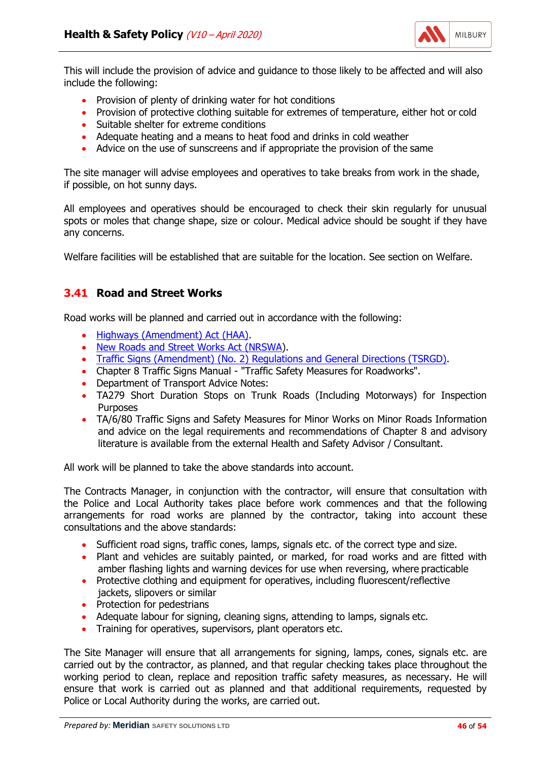

This will include the provision of advice and guidance to those likely to be affected and will also include the following:

- Provision of plenty of drinking water for hot conditions
- Provision of protective clothing suitable for extremes of temperature, either hot or cold
- Suitable shelter for extreme conditions
- Adequate heating and a means to heat food and drinks in cold weather
- Advice on the use of sunscreens and if appropriate the provision of the same

The site manager will advise employees and operatives to take breaks from work in the shade, if possible, on hot sunny days.

All employees and operatives should be encouraged to check their skin regularly for unusual spots or moles that change shape, size or colour. Medical advice should be sought if they have any concerns.

Welfare facilities will be established that are suitable for the location. See section on Welfare.

# **3.41 Road and Street Works**

Road works will be planned and carried out in accordance with the following:

- [Highways \(Amendment\) Act \(HAA\).](http://www.legislation.gov.uk/ukpga/1986/13/contents)
- [New Roads and Street Works Act](http://www.legislation.gov.uk/ukpga/1991/22/contents) (NRSWA).
- [Traffic Signs \(Amendment\) \(No. 2\) Regulations and General Directions](http://www.legislation.gov.uk/uksi/2011/3041/contents/made) (TSRGD).
- Chapter 8 Traffic Signs Manual "Traffic Safety Measures for Roadworks".
- Department of Transport Advice Notes:
- TA279 Short Duration Stops on Trunk Roads (Including Motorways) for Inspection Purposes
- TA/6/80 Traffic Signs and Safety Measures for Minor Works on Minor Roads Information and advice on the legal requirements and recommendations of Chapter 8 and advisory literature is available from the external Health and Safety Advisor / Consultant.

All work will be planned to take the above standards into account.

The Contracts Manager, in conjunction with the contractor, will ensure that consultation with the Police and Local Authority takes place before work commences and that the following arrangements for road works are planned by the contractor, taking into account these consultations and the above standards:

- Sufficient road signs, traffic cones, lamps, signals etc. of the correct type and size.
- Plant and vehicles are suitably painted, or marked, for road works and are fitted with amber flashing lights and warning devices for use when reversing, where practicable
- Protective clothing and equipment for operatives, including fluorescent/reflective jackets, slipovers or similar
- Protection for pedestrians
- Adequate labour for signing, cleaning signs, attending to lamps, signals etc.
- Training for operatives, supervisors, plant operators etc.

The Site Manager will ensure that all arrangements for signing, lamps, cones, signals etc. are carried out by the contractor, as planned, and that regular checking takes place throughout the working period to clean, replace and reposition traffic safety measures, as necessary. He will ensure that work is carried out as planned and that additional requirements, requested by Police or Local Authority during the works, are carried out.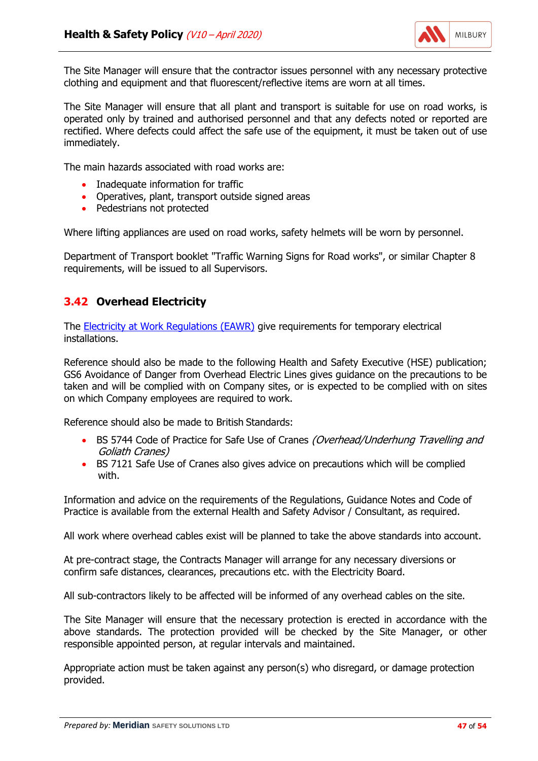

The Site Manager will ensure that the contractor issues personnel with any necessary protective clothing and equipment and that fluorescent/reflective items are worn at all times.

The Site Manager will ensure that all plant and transport is suitable for use on road works, is operated only by trained and authorised personnel and that any defects noted or reported are rectified. Where defects could affect the safe use of the equipment, it must be taken out of use immediately.

The main hazards associated with road works are:

- Inadequate information for traffic
- Operatives, plant, transport outside signed areas
- Pedestrians not protected

Where lifting appliances are used on road works, safety helmets will be worn by personnel.

Department of Transport booklet "Traffic Warning Signs for Road works", or similar Chapter 8 requirements, will be issued to all Supervisors.

## **3.42 Overhead Electricity**

The [Electricity at Work Regulations \(EAWR\)](http://www.legislation.gov.uk/uksi/1989/635/contents/made) give requirements for temporary electrical installations.

Reference should also be made to the following Health and Safety Executive (HSE) publication; GS6 Avoidance of Danger from Overhead Electric Lines gives guidance on the precautions to be taken and will be complied with on Company sites, or is expected to be complied with on sites on which Company employees are required to work.

Reference should also be made to British Standards:

- BS 5744 Code of Practice for Safe Use of Cranes (Overhead/Underhung Travelling and Goliath Cranes)
- BS 7121 Safe Use of Cranes also gives advice on precautions which will be complied with.

Information and advice on the requirements of the Regulations, Guidance Notes and Code of Practice is available from the external Health and Safety Advisor / Consultant, as required.

All work where overhead cables exist will be planned to take the above standards into account.

At pre-contract stage, the Contracts Manager will arrange for any necessary diversions or confirm safe distances, clearances, precautions etc. with the Electricity Board.

All sub-contractors likely to be affected will be informed of any overhead cables on the site.

The Site Manager will ensure that the necessary protection is erected in accordance with the above standards. The protection provided will be checked by the Site Manager, or other responsible appointed person, at regular intervals and maintained.

Appropriate action must be taken against any person(s) who disregard, or damage protection provided.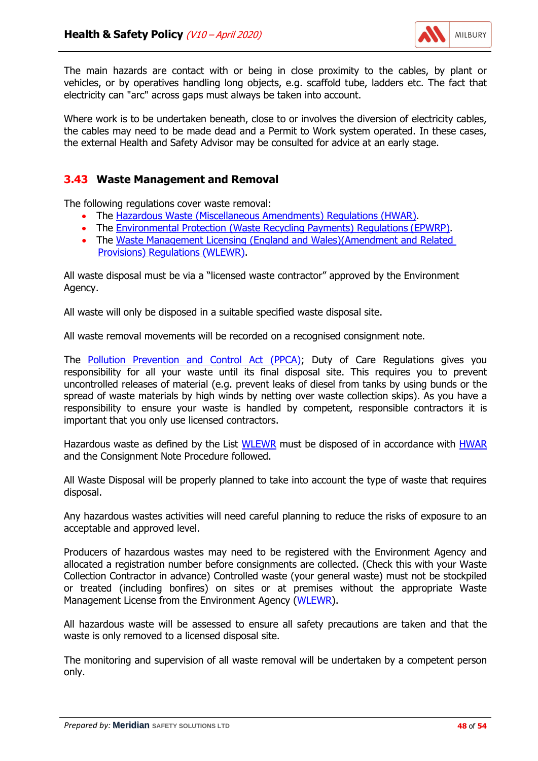

The main hazards are contact with or being in close proximity to the cables, by plant or vehicles, or by operatives handling long objects, e.g. scaffold tube, ladders etc. The fact that electricity can "arc" across gaps must always be taken into account.

Where work is to be undertaken beneath, close to or involves the diversion of electricity cables, the cables may need to be made dead and a Permit to Work system operated. In these cases, the external Health and Safety Advisor may be consulted for advice at an early stage.

# **3.43 Waste Management and Removal**

The following regulations cover waste removal:

- The [Hazardous Waste \(Miscellaneous Amendments\) Regulations](http://www.legislation.gov.uk/uksi/2015/1360/contents/made) (HWAR).
- The [Environmental Protection \(Waste Recycling Payments\) Regulations](http://www.legislation.gov.uk/uksi/2006/743/contents/made) (EPWRP).
- The Waste Management Licensing [\(England and Wales\)\(Amendment and Related](http://www.legislation.gov.uk/uksi/2005/1728/contents/made) [Provisions\) Regulations](http://www.legislation.gov.uk/uksi/2005/1728/contents/made) (WLEWR).

All waste disposal must be via a "licensed waste contractor" approved by the Environment Agency.

All waste will only be disposed in a suitable specified waste disposal site.

All waste removal movements will be recorded on a recognised consignment note.

The **Pollution Prevention and Control Act (PPCA)**; Duty of Care Regulations gives you responsibility for all your waste until its final disposal site. This requires you to prevent uncontrolled releases of material (e.g. prevent leaks of diesel from tanks by using bunds or the spread of waste materials by high winds by netting over waste collection skips). As you have a responsibility to ensure your waste is handled by competent, responsible contractors it is important that you only use licensed contractors.

Hazardous waste as defined by the List [WLEWR](http://www.legislation.gov.uk/uksi/2005/1728/contents/made) must be disposed of in accordance with [HWAR](http://www.legislation.gov.uk/uksi/2015/1360/contents/made) and the Consignment Note Procedure followed.

All Waste Disposal will be properly planned to take into account the type of waste that requires disposal.

Any hazardous wastes activities will need careful planning to reduce the risks of exposure to an acceptable and approved level.

Producers of hazardous wastes may need to be registered with the Environment Agency and allocated a registration number before consignments are collected. (Check this with your Waste Collection Contractor in advance) Controlled waste (your general waste) must not be stockpiled or treated (including bonfires) on sites or at premises without the appropriate Waste Management License from the Environment Agency [\(WLEWR\)](http://www.legislation.gov.uk/uksi/2005/1728/contents/made).

All hazardous waste will be assessed to ensure all safety precautions are taken and that the waste is only removed to a licensed disposal site.

The monitoring and supervision of all waste removal will be undertaken by a competent person only.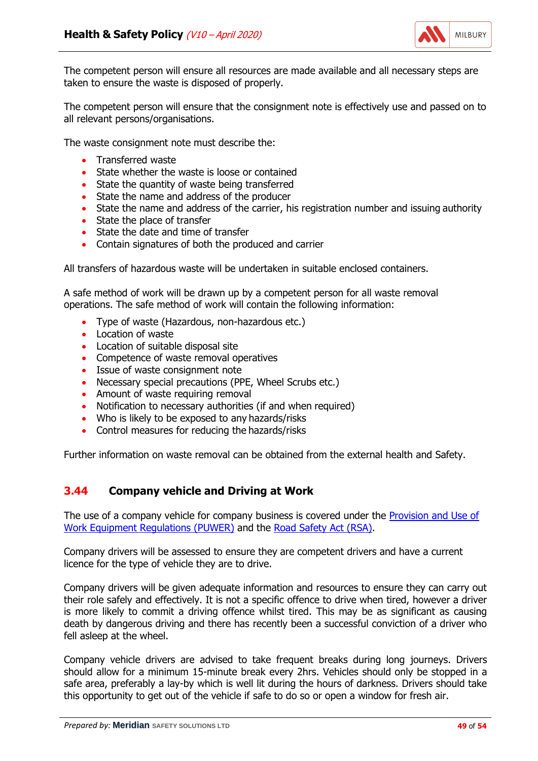

The competent person will ensure all resources are made available and all necessary steps are taken to ensure the waste is disposed of properly.

The competent person will ensure that the consignment note is effectively use and passed on to all relevant persons/organisations.

The waste consignment note must describe the:

- Transferred waste
- State whether the waste is loose or contained
- State the quantity of waste being transferred
- State the name and address of the producer
- State the name and address of the carrier, his registration number and issuing authority
- State the place of transfer
- State the date and time of transfer
- Contain signatures of both the produced and carrier

All transfers of hazardous waste will be undertaken in suitable enclosed containers.

A safe method of work will be drawn up by a competent person for all waste removal operations. The safe method of work will contain the following information:

- Type of waste (Hazardous, non-hazardous etc.)
- Location of waste
- Location of suitable disposal site
- Competence of waste removal operatives
- Issue of waste consignment note
- Necessary special precautions (PPE, Wheel Scrubs etc.)
- Amount of waste requiring removal
- Notification to necessary authorities (if and when required)
- Who is likely to be exposed to any hazards/risks
- Control measures for reducing the hazards/risks

Further information on waste removal can be obtained from the external health and Safety.

#### **3.44 Company vehicle and Driving at Work**

The use of a company vehicle for company business is covered under the **Provision and Use of** [Work Equipment Regulations \(PUWER\)](http://www.legislation.gov.uk/uksi/1998/2306/contents/made) and the [Road Safety Act \(RSA\).](http://www.legislation.gov.uk/ukpga/2006/49/contents)

Company drivers will be assessed to ensure they are competent drivers and have a current licence for the type of vehicle they are to drive.

Company drivers will be given adequate information and resources to ensure they can carry out their role safely and effectively. It is not a specific offence to drive when tired, however a driver is more likely to commit a driving offence whilst tired. This may be as significant as causing death by dangerous driving and there has recently been a successful conviction of a driver who fell asleep at the wheel.

Company vehicle drivers are advised to take frequent breaks during long journeys. Drivers should allow for a minimum 15-minute break every 2hrs. Vehicles should only be stopped in a safe area, preferably a lay-by which is well lit during the hours of darkness. Drivers should take this opportunity to get out of the vehicle if safe to do so or open a window for fresh air.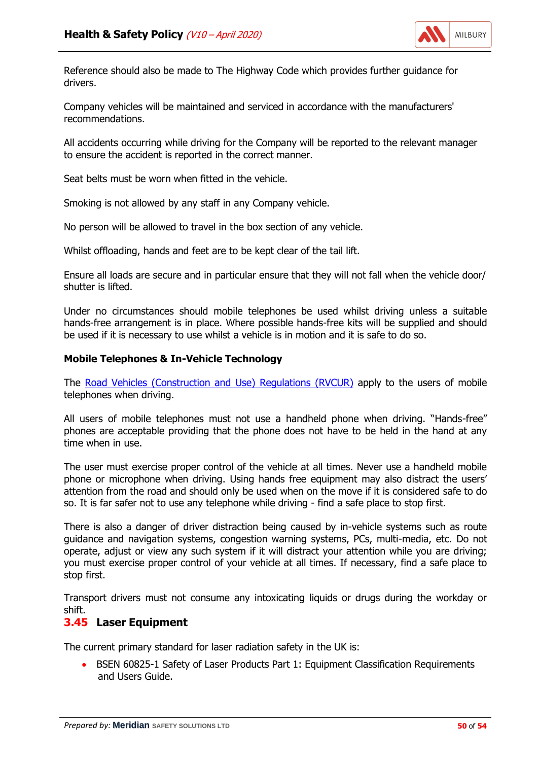

Reference should also be made to The Highway Code which provides further guidance for drivers.

Company vehicles will be maintained and serviced in accordance with the manufacturers' recommendations.

All accidents occurring while driving for the Company will be reported to the relevant manager to ensure the accident is reported in the correct manner.

Seat belts must be worn when fitted in the vehicle.

Smoking is not allowed by any staff in any Company vehicle.

No person will be allowed to travel in the box section of any vehicle.

Whilst offloading, hands and feet are to be kept clear of the tail lift.

Ensure all loads are secure and in particular ensure that they will not fall when the vehicle door/ shutter is lifted.

Under no circumstances should mobile telephones be used whilst driving unless a suitable hands-free arrangement is in place. Where possible hands-free kits will be supplied and should be used if it is necessary to use whilst a vehicle is in motion and it is safe to do so.

#### **Mobile Telephones & In-Vehicle Technology**

The [Road Vehicles \(Construction and Use\) Regulations \(RVCUR\)](http://www.legislation.gov.uk/uksi/2015/142/contents/made) apply to the users of mobile telephones when driving.

All users of mobile telephones must not use a handheld phone when driving. "Hands-free" phones are acceptable providing that the phone does not have to be held in the hand at any time when in use.

The user must exercise proper control of the vehicle at all times. Never use a handheld mobile phone or microphone when driving. Using hands free equipment may also distract the users' attention from the road and should only be used when on the move if it is considered safe to do so. It is far safer not to use any telephone while driving - find a safe place to stop first.

There is also a danger of driver distraction being caused by in-vehicle systems such as route guidance and navigation systems, congestion warning systems, PCs, multi-media, etc. Do not operate, adjust or view any such system if it will distract your attention while you are driving; you must exercise proper control of your vehicle at all times. If necessary, find a safe place to stop first.

Transport drivers must not consume any intoxicating liquids or drugs during the workday or shift.

#### **3.45 Laser Equipment**

The current primary standard for laser radiation safety in the UK is:

• BSEN 60825-1 Safety of Laser Products Part 1: Equipment Classification Requirements and Users Guide.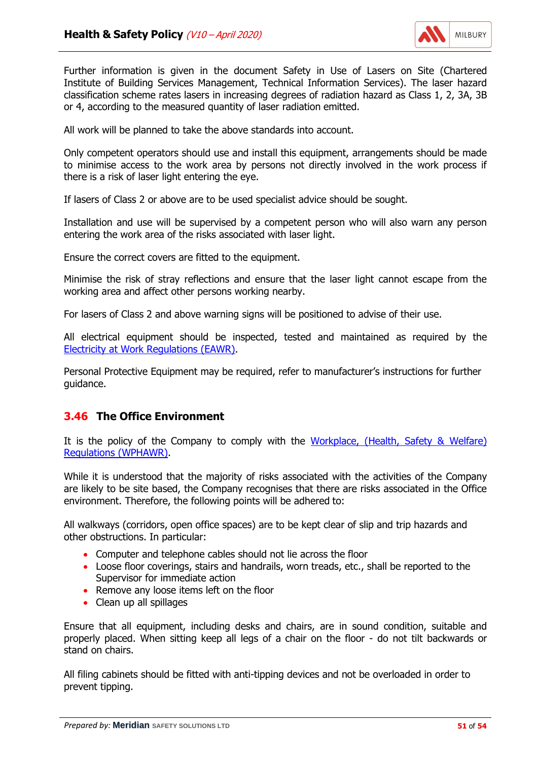

Further information is given in the document Safety in Use of Lasers on Site (Chartered Institute of Building Services Management, Technical Information Services). The laser hazard classification scheme rates lasers in increasing degrees of radiation hazard as Class 1, 2, 3A, 3B or 4, according to the measured quantity of laser radiation emitted.

All work will be planned to take the above standards into account.

Only competent operators should use and install this equipment, arrangements should be made to minimise access to the work area by persons not directly involved in the work process if there is a risk of laser light entering the eye.

If lasers of Class 2 or above are to be used specialist advice should be sought.

Installation and use will be supervised by a competent person who will also warn any person entering the work area of the risks associated with laser light.

Ensure the correct covers are fitted to the equipment.

Minimise the risk of stray reflections and ensure that the laser light cannot escape from the working area and affect other persons working nearby.

For lasers of Class 2 and above warning signs will be positioned to advise of their use.

All electrical equipment should be inspected, tested and maintained as required by the [Electricity at Work Regulations \(EAWR\).](http://www.legislation.gov.uk/uksi/1989/635/contents/made)

Personal Protective Equipment may be required, refer to manufacturer's instructions for further guidance.

#### **3.46 The Office Environment**

It is the policy of the Company to comply with the [Workplace, \(Health, Safety & Welfare\)](http://www.legislation.gov.uk/uksi/1992/3004/contents/made) [Regulations \(WPHAWR\).](http://www.legislation.gov.uk/uksi/1992/3004/contents/made)

While it is understood that the majority of risks associated with the activities of the Company are likely to be site based, the Company recognises that there are risks associated in the Office environment. Therefore, the following points will be adhered to:

All walkways (corridors, open office spaces) are to be kept clear of slip and trip hazards and other obstructions. In particular:

- Computer and telephone cables should not lie across the floor
- Loose floor coverings, stairs and handrails, worn treads, etc., shall be reported to the Supervisor for immediate action
- Remove any loose items left on the floor
- Clean up all spillages

Ensure that all equipment, including desks and chairs, are in sound condition, suitable and properly placed. When sitting keep all legs of a chair on the floor - do not tilt backwards or stand on chairs.

All filing cabinets should be fitted with anti-tipping devices and not be overloaded in order to prevent tipping.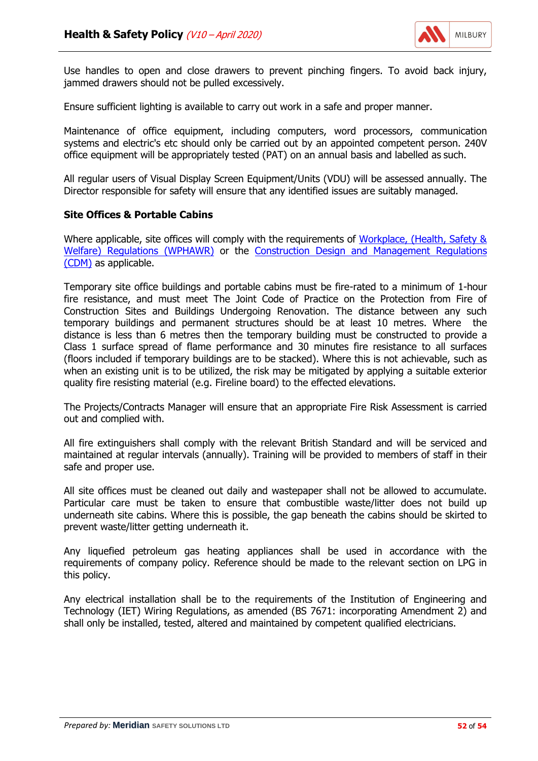

Use handles to open and close drawers to prevent pinching fingers. To avoid back injury, jammed drawers should not be pulled excessively.

Ensure sufficient lighting is available to carry out work in a safe and proper manner.

Maintenance of office equipment, including computers, word processors, communication systems and electric's etc should only be carried out by an appointed competent person. 240V office equipment will be appropriately tested (PAT) on an annual basis and labelled as such.

All regular users of Visual Display Screen Equipment/Units (VDU) will be assessed annually. The Director responsible for safety will ensure that any identified issues are suitably managed.

#### **Site Offices & Portable Cabins**

Where applicable, site offices will comply with the requirements of [Workplace, \(Health, Safety &](http://www.legislation.gov.uk/uksi/1992/3004/contents/made) [Welfare\) Regulations \(WPHAWR\)](http://www.legislation.gov.uk/uksi/1992/3004/contents/made) or the [Construction Design and Management Regulations](http://www.legislation.gov.uk/uksi/2015/51/contents/made) [\(CDM\)](http://www.legislation.gov.uk/uksi/2015/51/contents/made) as applicable.

Temporary site office buildings and portable cabins must be fire-rated to a minimum of 1-hour fire resistance, and must meet The Joint Code of Practice on the Protection from Fire of Construction Sites and Buildings Undergoing Renovation. The distance between any such temporary buildings and permanent structures should be at least 10 metres. Where the distance is less than 6 metres then the temporary building must be constructed to provide a Class 1 surface spread of flame performance and 30 minutes fire resistance to all surfaces (floors included if temporary buildings are to be stacked). Where this is not achievable, such as when an existing unit is to be utilized, the risk may be mitigated by applying a suitable exterior quality fire resisting material (e.g. Fireline board) to the effected elevations.

The Projects/Contracts Manager will ensure that an appropriate Fire Risk Assessment is carried out and complied with.

All fire extinguishers shall comply with the relevant British Standard and will be serviced and maintained at regular intervals (annually). Training will be provided to members of staff in their safe and proper use.

All site offices must be cleaned out daily and wastepaper shall not be allowed to accumulate. Particular care must be taken to ensure that combustible waste/litter does not build up underneath site cabins. Where this is possible, the gap beneath the cabins should be skirted to prevent waste/litter getting underneath it.

Any liquefied petroleum gas heating appliances shall be used in accordance with the requirements of company policy. Reference should be made to the relevant section on LPG in this policy.

Any electrical installation shall be to the requirements of the Institution of Engineering and Technology (IET) Wiring Regulations, as amended (BS 7671: incorporating Amendment 2) and shall only be installed, tested, altered and maintained by competent qualified electricians.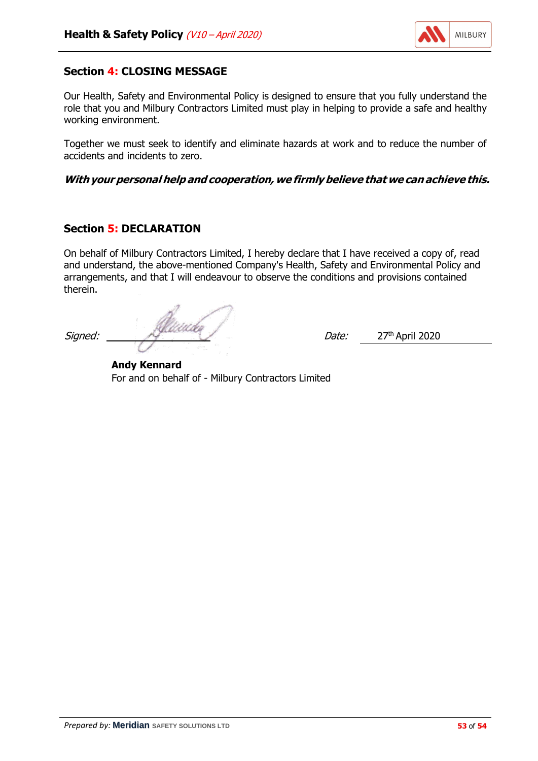

# **Section 4: CLOSING MESSAGE**

Our Health, Safety and Environmental Policy is designed to ensure that you fully understand the role that you and Milbury Contractors Limited must play in helping to provide a safe and healthy working environment.

Together we must seek to identify and eliminate hazards at work and to reduce the number of accidents and incidents to zero.

**With your personal help and cooperation, we firmlybelieve that we can achieve this.**

## **Section 5: DECLARATION**

On behalf of Milbury Contractors Limited, I hereby declare that I have received a copy of, read and understand, the above-mentioned Company's Health, Safety and Environmental Policy and arrangements, and that I will endeavour to observe the conditions and provisions contained therein.

Signed: 27<sup>th</sup> April 2020

**Andy Kennard** For and on behalf of - Milbury Contractors Limited